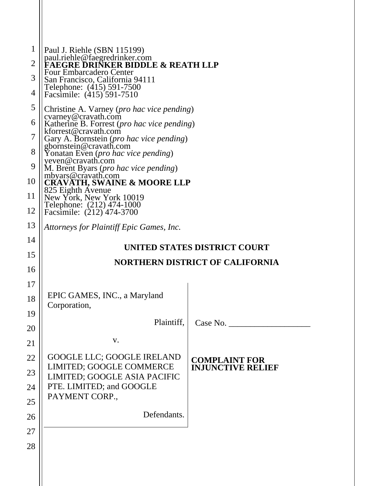| 1              | Paul J. Riehle (SBN 115199)                                                       |                                        |  |
|----------------|-----------------------------------------------------------------------------------|----------------------------------------|--|
| $\overline{2}$ | paul.riehle@faegredrinker.com<br><b>FAEGRE DRINKER BIDDLE &amp; REATH LLP</b>     |                                        |  |
| 3              | <b>Four Embarcadero Center</b><br>San Francisco, California 94111                 |                                        |  |
| 4              | Telephone: (415) 591-7500<br>Facsimile: (415) 591-7510                            |                                        |  |
| 5              | Christine A. Varney (pro hac vice pending)                                        |                                        |  |
| 6              | cvarney@cravath.com<br>Katherine B. Forrest (pro hac vice pending)                |                                        |  |
| 7              | kforrest@cravath.com<br>Gary A. Bornstein ( <i>pro hac vice pending</i> )         |                                        |  |
| 8              | gbornstein@cravath.com<br>Yonatan Even ( <i>pro hac vice pending</i> )            |                                        |  |
| 9              | yeven@cravath.com<br>M. Brent Byars (pro hac vice pending)                        |                                        |  |
| 10             | mbyars@cravath.com<br><b>CRAVATH, SWAINE &amp; MOORE LLP</b><br>825 Eighth Avenue |                                        |  |
| 11             | New York, New York 10019<br>Telephone: (212) 474-1000                             |                                        |  |
| 12             | Facsimile: (212) 474-3700                                                         |                                        |  |
| 13             | Attorneys for Plaintiff Epic Games, Inc.                                          |                                        |  |
| 14             |                                                                                   | UNITED STATES DISTRICT COURT           |  |
| 15             |                                                                                   | <b>NORTHERN DISTRICT OF CALIFORNIA</b> |  |
| 16             |                                                                                   |                                        |  |
| 17             |                                                                                   |                                        |  |
| 18             | EPIC GAMES, INC., a Maryland<br>Corporation,                                      |                                        |  |
| 19             | Plaintiff,                                                                        |                                        |  |
| 20             |                                                                                   | Case No.                               |  |
| 21             | V.                                                                                |                                        |  |
| 22             | GOOGLE LLC; GOOGLE IRELAND<br>LIMITED; GOOGLE COMMERCE                            | <b>COMPLAINT FOR</b>                   |  |
| 23             | LIMITED; GOOGLE ASIA PACIFIC                                                      | <b>INJUNCTIVE RELIEF</b>               |  |
| 24             | PTE. LIMITED; and GOOGLE<br>PAYMENT CORP.,                                        |                                        |  |
| 25             |                                                                                   |                                        |  |
| 26             | Defendants.                                                                       |                                        |  |
| 27             |                                                                                   |                                        |  |
| 28             |                                                                                   |                                        |  |
|                |                                                                                   |                                        |  |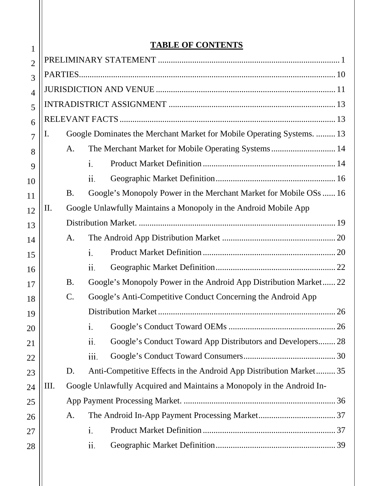## **TABLE OF CONTENTS**

| 1              | <u>TABLE OF CONTENTS</u>                                                      |                 |      |                                                                        |    |
|----------------|-------------------------------------------------------------------------------|-----------------|------|------------------------------------------------------------------------|----|
| $\overline{2}$ |                                                                               |                 |      |                                                                        |    |
| 3              |                                                                               |                 |      |                                                                        |    |
| $\overline{4}$ |                                                                               |                 |      |                                                                        |    |
| 5              |                                                                               |                 |      |                                                                        |    |
| 6              |                                                                               |                 |      |                                                                        |    |
| 7              | 1.                                                                            |                 |      | Google Dominates the Merchant Market for Mobile Operating Systems.  13 |    |
| 8              |                                                                               | A.              |      | The Merchant Market for Mobile Operating Systems 14                    |    |
| 9              |                                                                               |                 | i.   |                                                                        |    |
| 10             |                                                                               |                 | ii.  |                                                                        |    |
| 11             |                                                                               | <b>B.</b>       |      | Google's Monopoly Power in the Merchant Market for Mobile OSs  16      |    |
| 12             | Google Unlawfully Maintains a Monopoly in the Android Mobile App<br>$\prod$ . |                 |      |                                                                        |    |
| 13             |                                                                               |                 |      |                                                                        |    |
| 14             |                                                                               | A.              |      |                                                                        |    |
| 15             |                                                                               |                 | i.   |                                                                        |    |
| 16             |                                                                               |                 | ii.  |                                                                        |    |
| 17             |                                                                               | <b>B.</b>       |      | Google's Monopoly Power in the Android App Distribution Market 22      |    |
| 18             |                                                                               | $\mathcal{C}$ . |      | Google's Anti-Competitive Conduct Concerning the Android App           |    |
| 19             |                                                                               |                 |      |                                                                        | 26 |
| 20             |                                                                               |                 | i.   |                                                                        |    |
| 21             |                                                                               |                 | ii.  | Google's Conduct Toward App Distributors and Developers 28             |    |
| 22             |                                                                               |                 | iii. |                                                                        |    |
| 23             |                                                                               | D.              |      | Anti-Competitive Effects in the Android App Distribution Market 35     |    |
| 24             | III.                                                                          |                 |      | Google Unlawfully Acquired and Maintains a Monopoly in the Android In- |    |
| 25             |                                                                               |                 |      |                                                                        |    |
| 26             |                                                                               | A.              |      |                                                                        |    |
| 27             |                                                                               |                 | i.   |                                                                        |    |
| 28             |                                                                               |                 | ii.  |                                                                        |    |
|                |                                                                               |                 |      |                                                                        |    |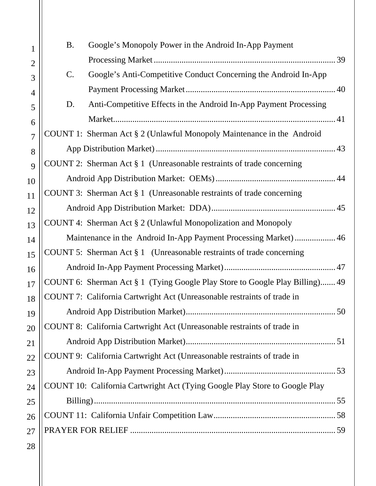| $\mathbf{1}$   | <b>B.</b>                                                       | Google's Monopoly Power in the Android In-App Payment                        |  |
|----------------|-----------------------------------------------------------------|------------------------------------------------------------------------------|--|
| $\overline{2}$ |                                                                 |                                                                              |  |
| 3              | $\mathcal{C}$ .                                                 | Google's Anti-Competitive Conduct Concerning the Android In-App              |  |
| 4              |                                                                 |                                                                              |  |
| 5              | D.                                                              | Anti-Competitive Effects in the Android In-App Payment Processing            |  |
| 6              |                                                                 |                                                                              |  |
| $\overline{7}$ |                                                                 | COUNT 1: Sherman Act § 2 (Unlawful Monopoly Maintenance in the Android       |  |
| 8              |                                                                 |                                                                              |  |
| 9              |                                                                 | COUNT 2: Sherman Act $\S 1$ (Unreasonable restraints of trade concerning     |  |
| 10             |                                                                 |                                                                              |  |
| 11             |                                                                 | COUNT 3: Sherman Act $\S 1$ (Unreasonable restraints of trade concerning     |  |
| 12             |                                                                 |                                                                              |  |
| 13             |                                                                 | COUNT 4: Sherman Act § 2 (Unlawful Monopolization and Monopoly               |  |
| 14             | Maintenance in the Android In-App Payment Processing Market) 46 |                                                                              |  |
| 15             |                                                                 | COUNT 5: Sherman Act $\S 1$ (Unreasonable restraints of trade concerning     |  |
| 16             |                                                                 |                                                                              |  |
| 17             |                                                                 | COUNT 6: Sherman Act § 1 (Tying Google Play Store to Google Play Billing) 49 |  |
| 18             |                                                                 | COUNT 7: California Cartwright Act (Unreasonable restraints of trade in      |  |
| 19             |                                                                 |                                                                              |  |
| 20             |                                                                 | COUNT 8: California Cartwright Act (Unreasonable restraints of trade in      |  |
| 21             |                                                                 |                                                                              |  |
| 22             |                                                                 | COUNT 9: California Cartwright Act (Unreasonable restraints of trade in      |  |
| 23             |                                                                 |                                                                              |  |
| 24             |                                                                 | COUNT 10: California Cartwright Act (Tying Google Play Store to Google Play  |  |
| 25             |                                                                 |                                                                              |  |
| 26             |                                                                 |                                                                              |  |
| 27             |                                                                 |                                                                              |  |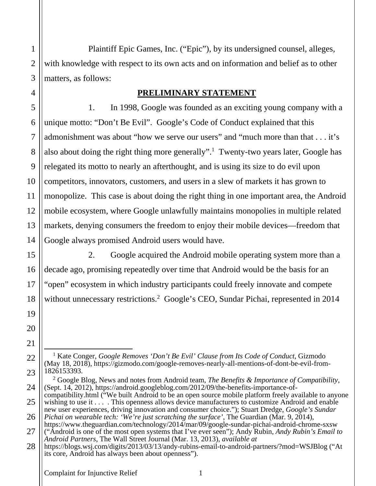Plaintiff Epic Games, Inc. ("Epic"), by its undersigned counsel, alleges, with knowledge with respect to its own acts and on information and belief as to other matters, as follows:

#### **PRELIMINARY STATEMENT**

1. In 1998, Google was founded as an exciting young company with a unique motto: "Don't Be Evil". Google's Code of Conduct explained that this admonishment was about "how we serve our users" and "much more than that . . . it's also about doing the right thing more generally".<sup>1</sup> Twenty-two years later, Google has relegated its motto to nearly an afterthought, and is using its size to do evil upon competitors, innovators, customers, and users in a slew of markets it has grown to monopolize. This case is about doing the right thing in one important area, the Android mobile ecosystem, where Google unlawfully maintains monopolies in multiple related markets, denying consumers the freedom to enjoy their mobile devices—freedom that Google always promised Android users would have.

2. Google acquired the Android mobile operating system more than a decade ago, promising repeatedly over time that Android would be the basis for an "open" ecosystem in which industry participants could freely innovate and compete without unnecessary restrictions.<sup>2</sup> Google's CEO, Sundar Pichai, represented in 2014

<sup>&</sup>lt;sup>1</sup> Kate Conger, *Google Removes 'Don't Be Evil' Clause from Its Code of Conduct*, Gizmodo (May 18, 2018), https://gizmodo.com/google-removes-nearly-all-mentions-of-dont-be-evil-from-1826153393.

<sup>&</sup>lt;sup>2</sup> Google Blog, News and notes from Android team, *The Benefits & Importance of Compatibility*, (Sept. 14, 2012), https://android.googleblog.com/2012/09/the-benefits-importance-of-

compatibility.html ("We built Android to be an open source mobile platform freely available to anyone wishing to use it . . . . This openness allows device manufacturers to customize Android and enable new user experiences, driving innovation and consumer choice."); Stuart Dredge, *Google's Sundar Pichai on wearable tech: 'We're just scratching the surface'*, The Guardian (Mar. 9, 2014),

https://www.theguardian.com/technology/2014/mar/09/google-sundar-pichai-android-chrome-sxsw ("Android is one of the most open systems that I've ever seen"); Andy Rubin, *Andy Rubin's Email to Android Partners*, The Wall Street Journal (Mar. 13, 2013), *available at*

https://blogs.wsj.com/digits/2013/03/13/andy-rubins-email-to-android-partners/?mod=WSJBlog ("At its core, Android has always been about openness").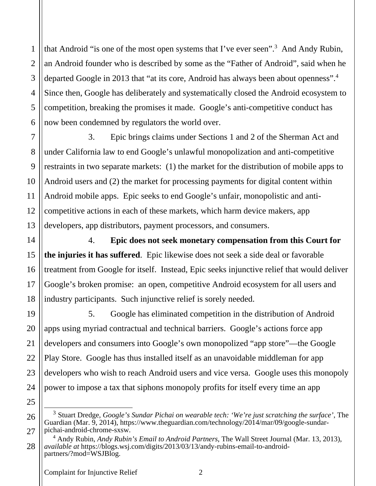that Android "is one of the most open systems that I've ever seen".<sup>3</sup> And Andy Rubin, an Android founder who is described by some as the "Father of Android", said when he departed Google in 2013 that "at its core, Android has always been about openness".4 Since then, Google has deliberately and systematically closed the Android ecosystem to competition, breaking the promises it made. Google's anti-competitive conduct has now been condemned by regulators the world over.

3. Epic brings claims under Sections 1 and 2 of the Sherman Act and under California law to end Google's unlawful monopolization and anti-competitive restraints in two separate markets: (1) the market for the distribution of mobile apps to Android users and (2) the market for processing payments for digital content within Android mobile apps. Epic seeks to end Google's unfair, monopolistic and anticompetitive actions in each of these markets, which harm device makers, app developers, app distributors, payment processors, and consumers.

4. **Epic does not seek monetary compensation from this Court for the injuries it has suffered**. Epic likewise does not seek a side deal or favorable treatment from Google for itself. Instead, Epic seeks injunctive relief that would deliver Google's broken promise: an open, competitive Android ecosystem for all users and industry participants. Such injunctive relief is sorely needed.

5. Google has eliminated competition in the distribution of Android apps using myriad contractual and technical barriers. Google's actions force app developers and consumers into Google's own monopolized "app store"—the Google Play Store. Google has thus installed itself as an unavoidable middleman for app developers who wish to reach Android users and vice versa. Google uses this monopoly power to impose a tax that siphons monopoly profits for itself every time an app

1

2

<sup>3</sup> Stuart Dredge, *Google's Sundar Pichai on wearable tech: 'We're just scratching the surface'*, The Guardian (Mar. 9, 2014), https://www.theguardian.com/technology/2014/mar/09/google-sundarpichai-android-chrome-sxsw.

<sup>4</sup> Andy Rubin, *Andy Rubin's Email to Android Partners*, The Wall Street Journal (Mar. 13, 2013), *available at* https://blogs.wsj.com/digits/2013/03/13/andy-rubins-email-to-androidpartners/?mod=WSJBlog.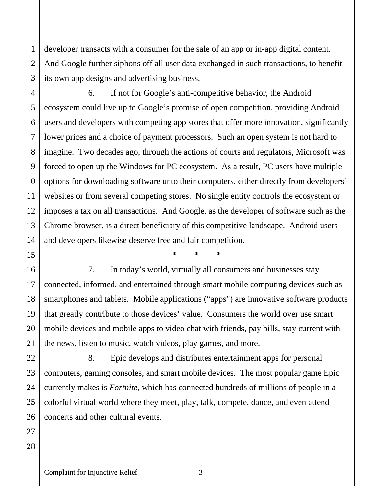developer transacts with a consumer for the sale of an app or in-app digital content. And Google further siphons off all user data exchanged in such transactions, to benefit its own app designs and advertising business.

6. If not for Google's anti-competitive behavior, the Android ecosystem could live up to Google's promise of open competition, providing Android users and developers with competing app stores that offer more innovation, significantly lower prices and a choice of payment processors. Such an open system is not hard to imagine. Two decades ago, through the actions of courts and regulators, Microsoft was forced to open up the Windows for PC ecosystem. As a result, PC users have multiple options for downloading software unto their computers, either directly from developers' websites or from several competing stores. No single entity controls the ecosystem or imposes a tax on all transactions. And Google, as the developer of software such as the Chrome browser, is a direct beneficiary of this competitive landscape. Android users and developers likewise deserve free and fair competition.

**\* \* \*** 

7. In today's world, virtually all consumers and businesses stay connected, informed, and entertained through smart mobile computing devices such as smartphones and tablets. Mobile applications ("apps") are innovative software products that greatly contribute to those devices' value. Consumers the world over use smart mobile devices and mobile apps to video chat with friends, pay bills, stay current with the news, listen to music, watch videos, play games, and more.

8. Epic develops and distributes entertainment apps for personal computers, gaming consoles, and smart mobile devices. The most popular game Epic currently makes is *Fortnite*, which has connected hundreds of millions of people in a colorful virtual world where they meet, play, talk, compete, dance, and even attend concerts and other cultural events.

1

2

3

4

5

6

7

8

9

10

11

Complaint for Injunctive Relief 3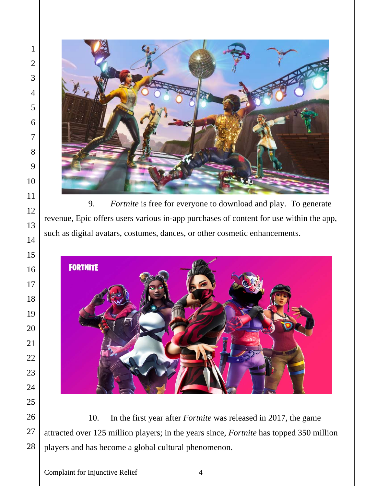

9. *Fortnite* is free for everyone to download and play. To generate revenue, Epic offers users various in-app purchases of content for use within the app, such as digital avatars, costumes, dances, or other cosmetic enhancements.



10. In the first year after *Fortnite* was released in 2017, the game attracted over 125 million players; in the years since, *Fortnite* has topped 350 million players and has become a global cultural phenomenon.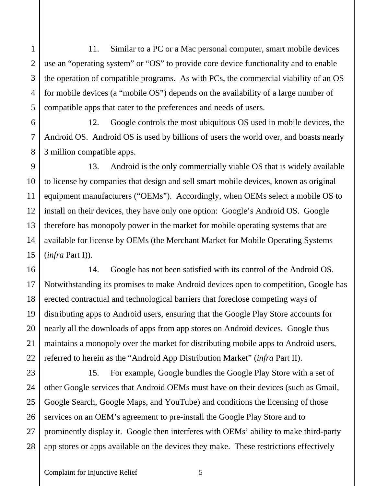11. Similar to a PC or a Mac personal computer, smart mobile devices use an "operating system" or "OS" to provide core device functionality and to enable the operation of compatible programs. As with PCs, the commercial viability of an OS for mobile devices (a "mobile OS") depends on the availability of a large number of compatible apps that cater to the preferences and needs of users.

12. Google controls the most ubiquitous OS used in mobile devices, the Android OS. Android OS is used by billions of users the world over, and boasts nearly 3 million compatible apps.

13. Android is the only commercially viable OS that is widely available to license by companies that design and sell smart mobile devices, known as original equipment manufacturers ("OEMs"). Accordingly, when OEMs select a mobile OS to install on their devices, they have only one option: Google's Android OS. Google therefore has monopoly power in the market for mobile operating systems that are available for license by OEMs (the Merchant Market for Mobile Operating Systems (*infra* Part I)).

14. Google has not been satisfied with its control of the Android OS. Notwithstanding its promises to make Android devices open to competition, Google has erected contractual and technological barriers that foreclose competing ways of distributing apps to Android users, ensuring that the Google Play Store accounts for nearly all the downloads of apps from app stores on Android devices. Google thus maintains a monopoly over the market for distributing mobile apps to Android users, referred to herein as the "Android App Distribution Market" (*infra* Part II).

15. For example, Google bundles the Google Play Store with a set of other Google services that Android OEMs must have on their devices (such as Gmail, Google Search, Google Maps, and YouTube) and conditions the licensing of those services on an OEM's agreement to pre-install the Google Play Store and to prominently display it. Google then interferes with OEMs' ability to make third-party app stores or apps available on the devices they make. These restrictions effectively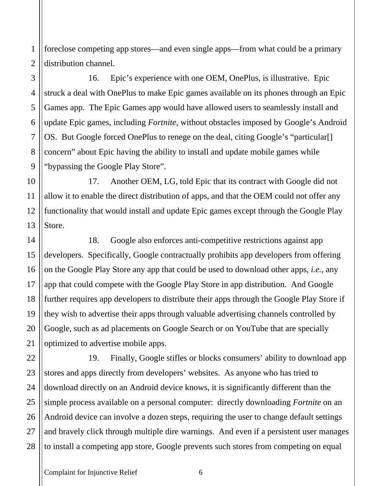foreclose competing app stores—and even single apps—from what could be a primary distribution channel.

16. Epic's experience with one OEM, OnePlus, is illustrative. Epic struck a deal with OnePlus to make Epic games available on its phones through an Epic Games app. The Epic Games app would have allowed users to seamlessly install and update Epic games, including *Fortnite*, without obstacles imposed by Google's Android OS. But Google forced OnePlus to renege on the deal, citing Google's "particular[] concern" about Epic having the ability to install and update mobile games while "bypassing the Google Play Store".

10 12 13 17. Another OEM, LG, told Epic that its contract with Google did not allow it to enable the direct distribution of apps, and that the OEM could not offer any functionality that would install and update Epic games except through the Google Play Store.

18. Google also enforces anti-competitive restrictions against app developers. Specifically, Google contractually prohibits app developers from offering on the Google Play Store any app that could be used to download other apps, *i.e.*, any app that could compete with the Google Play Store in app distribution. And Google further requires app developers to distribute their apps through the Google Play Store if they wish to advertise their apps through valuable advertising channels controlled by Google, such as ad placements on Google Search or on YouTube that are specially optimized to advertise mobile apps.

19. Finally, Google stifles or blocks consumers' ability to download app stores and apps directly from developers' websites. As anyone who has tried to download directly on an Android device knows, it is significantly different than the simple process available on a personal computer: directly downloading *Fortnite* on an Android device can involve a dozen steps, requiring the user to change default settings and bravely click through multiple dire warnings. And even if a persistent user manages to install a competing app store, Google prevents such stores from competing on equal

1

2

3

4

5

6

7

8

9

11

14

15

16

17

18

19

20

21

22

23

24

25

26

27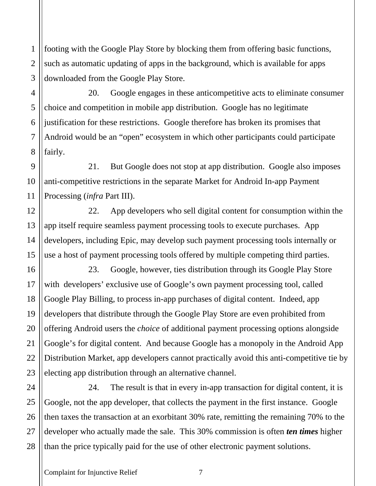footing with the Google Play Store by blocking them from offering basic functions, such as automatic updating of apps in the background, which is available for apps downloaded from the Google Play Store.

20. Google engages in these anticompetitive acts to eliminate consumer choice and competition in mobile app distribution. Google has no legitimate justification for these restrictions. Google therefore has broken its promises that Android would be an "open" ecosystem in which other participants could participate fairly.

21. But Google does not stop at app distribution. Google also imposes anti-competitive restrictions in the separate Market for Android In-app Payment Processing (*infra* Part III).

22. App developers who sell digital content for consumption within the app itself require seamless payment processing tools to execute purchases. App developers, including Epic, may develop such payment processing tools internally or use a host of payment processing tools offered by multiple competing third parties.

23. Google, however, ties distribution through its Google Play Store with developers' exclusive use of Google's own payment processing tool, called Google Play Billing, to process in-app purchases of digital content. Indeed, app developers that distribute through the Google Play Store are even prohibited from offering Android users the *choice* of additional payment processing options alongside Google's for digital content. And because Google has a monopoly in the Android App Distribution Market, app developers cannot practically avoid this anti-competitive tie by electing app distribution through an alternative channel.

24. The result is that in every in-app transaction for digital content, it is Google, not the app developer, that collects the payment in the first instance. Google then taxes the transaction at an exorbitant 30% rate, remitting the remaining 70% to the developer who actually made the sale. This 30% commission is often *ten times* higher than the price typically paid for the use of other electronic payment solutions.

1

2

Complaint for Injunctive Relief 7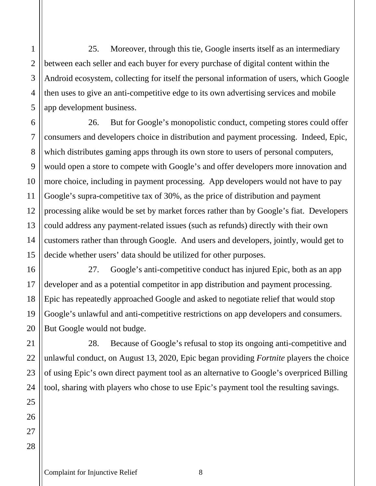25. Moreover, through this tie, Google inserts itself as an intermediary between each seller and each buyer for every purchase of digital content within the Android ecosystem, collecting for itself the personal information of users, which Google then uses to give an anti-competitive edge to its own advertising services and mobile app development business.

26. But for Google's monopolistic conduct, competing stores could offer consumers and developers choice in distribution and payment processing. Indeed, Epic, which distributes gaming apps through its own store to users of personal computers, would open a store to compete with Google's and offer developers more innovation and more choice, including in payment processing. App developers would not have to pay Google's supra-competitive tax of 30%, as the price of distribution and payment processing alike would be set by market forces rather than by Google's fiat. Developers could address any payment-related issues (such as refunds) directly with their own customers rather than through Google. And users and developers, jointly, would get to decide whether users' data should be utilized for other purposes.

27. Google's anti-competitive conduct has injured Epic, both as an app developer and as a potential competitor in app distribution and payment processing. Epic has repeatedly approached Google and asked to negotiate relief that would stop Google's unlawful and anti-competitive restrictions on app developers and consumers. But Google would not budge.

28. Because of Google's refusal to stop its ongoing anti-competitive and unlawful conduct, on August 13, 2020, Epic began providing *Fortnite* players the choice of using Epic's own direct payment tool as an alternative to Google's overpriced Billing tool, sharing with players who chose to use Epic's payment tool the resulting savings.

Complaint for Injunctive Relief 8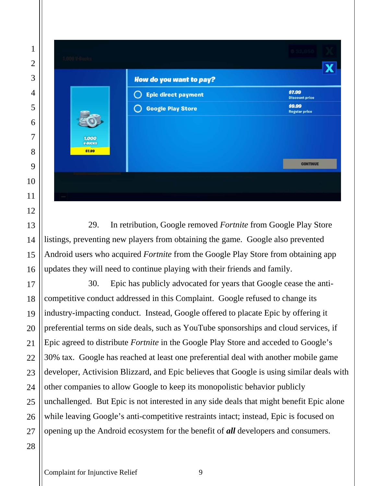|                                   | <b>How do you want to pay?</b> |                                 |
|-----------------------------------|--------------------------------|---------------------------------|
|                                   | <b>Epic direct payment</b>     | \$7.99<br><b>Discount price</b> |
|                                   | <b>Google Play Store</b>       | \$9.99<br><b>Regular price</b>  |
| 1,000<br><b>V-BUCKS</b><br>\$7.99 |                                |                                 |
|                                   |                                | <b>CONTINUE</b>                 |

29. In retribution, Google removed *Fortnite* from Google Play Store listings, preventing new players from obtaining the game. Google also prevented Android users who acquired *Fortnite* from the Google Play Store from obtaining app updates they will need to continue playing with their friends and family.

30. Epic has publicly advocated for years that Google cease the anticompetitive conduct addressed in this Complaint. Google refused to change its industry-impacting conduct. Instead, Google offered to placate Epic by offering it preferential terms on side deals, such as YouTube sponsorships and cloud services, if Epic agreed to distribute *Fortnite* in the Google Play Store and acceded to Google's 30% tax. Google has reached at least one preferential deal with another mobile game developer, Activision Blizzard, and Epic believes that Google is using similar deals with other companies to allow Google to keep its monopolistic behavior publicly unchallenged. But Epic is not interested in any side deals that might benefit Epic alone while leaving Google's anti-competitive restraints intact; instead, Epic is focused on opening up the Android ecosystem for the benefit of *all* developers and consumers.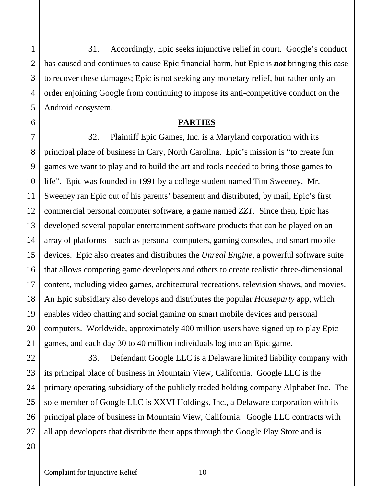31. Accordingly, Epic seeks injunctive relief in court. Google's conduct has caused and continues to cause Epic financial harm, but Epic is *not* bringing this case to recover these damages; Epic is not seeking any monetary relief, but rather only an order enjoining Google from continuing to impose its anti-competitive conduct on the Android ecosystem.

#### **PARTIES**

32. Plaintiff Epic Games, Inc. is a Maryland corporation with its principal place of business in Cary, North Carolina. Epic's mission is "to create fun games we want to play and to build the art and tools needed to bring those games to life". Epic was founded in 1991 by a college student named Tim Sweeney. Mr. Sweeney ran Epic out of his parents' basement and distributed, by mail, Epic's first commercial personal computer software, a game named *ZZT*. Since then, Epic has developed several popular entertainment software products that can be played on an array of platforms—such as personal computers, gaming consoles, and smart mobile devices. Epic also creates and distributes the *Unreal Engine*, a powerful software suite that allows competing game developers and others to create realistic three-dimensional content, including video games, architectural recreations, television shows, and movies. An Epic subsidiary also develops and distributes the popular *Houseparty* app, which enables video chatting and social gaming on smart mobile devices and personal computers. Worldwide, approximately 400 million users have signed up to play Epic games, and each day 30 to 40 million individuals log into an Epic game.

33. Defendant Google LLC is a Delaware limited liability company with its principal place of business in Mountain View, California. Google LLC is the primary operating subsidiary of the publicly traded holding company Alphabet Inc. The sole member of Google LLC is XXVI Holdings, Inc., a Delaware corporation with its principal place of business in Mountain View, California. Google LLC contracts with all app developers that distribute their apps through the Google Play Store and is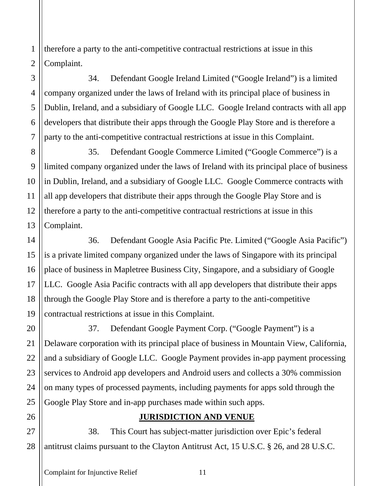therefore a party to the anti-competitive contractual restrictions at issue in this Complaint.

34. Defendant Google Ireland Limited ("Google Ireland") is a limited company organized under the laws of Ireland with its principal place of business in Dublin, Ireland, and a subsidiary of Google LLC. Google Ireland contracts with all app developers that distribute their apps through the Google Play Store and is therefore a party to the anti-competitive contractual restrictions at issue in this Complaint.

35. Defendant Google Commerce Limited ("Google Commerce") is a limited company organized under the laws of Ireland with its principal place of business in Dublin, Ireland, and a subsidiary of Google LLC. Google Commerce contracts with all app developers that distribute their apps through the Google Play Store and is therefore a party to the anti-competitive contractual restrictions at issue in this Complaint.

36. Defendant Google Asia Pacific Pte. Limited ("Google Asia Pacific") is a private limited company organized under the laws of Singapore with its principal place of business in Mapletree Business City, Singapore, and a subsidiary of Google LLC. Google Asia Pacific contracts with all app developers that distribute their apps through the Google Play Store and is therefore a party to the anti-competitive contractual restrictions at issue in this Complaint.

37. Defendant Google Payment Corp. ("Google Payment") is a Delaware corporation with its principal place of business in Mountain View, California, and a subsidiary of Google LLC. Google Payment provides in-app payment processing services to Android app developers and Android users and collects a 30% commission on many types of processed payments, including payments for apps sold through the Google Play Store and in-app purchases made within such apps.

#### **JURISDICTION AND VENUE**

38. This Court has subject-matter jurisdiction over Epic's federal antitrust claims pursuant to the Clayton Antitrust Act, 15 U.S.C. § 26, and 28 U.S.C.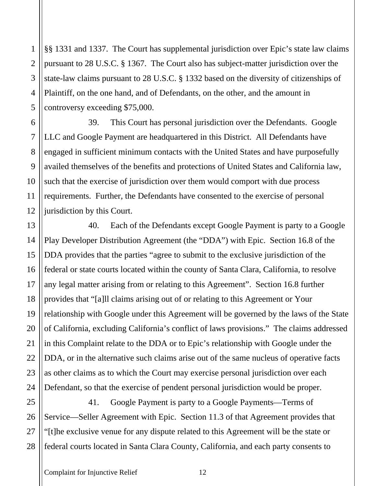§§ 1331 and 1337. The Court has supplemental jurisdiction over Epic's state law claims pursuant to 28 U.S.C. § 1367. The Court also has subject-matter jurisdiction over the state-law claims pursuant to 28 U.S.C. § 1332 based on the diversity of citizenships of Plaintiff, on the one hand, and of Defendants, on the other, and the amount in controversy exceeding \$75,000.

39. This Court has personal jurisdiction over the Defendants. Google LLC and Google Payment are headquartered in this District. All Defendants have engaged in sufficient minimum contacts with the United States and have purposefully availed themselves of the benefits and protections of United States and California law, such that the exercise of jurisdiction over them would comport with due process requirements. Further, the Defendants have consented to the exercise of personal jurisdiction by this Court.

40. Each of the Defendants except Google Payment is party to a Google Play Developer Distribution Agreement (the "DDA") with Epic. Section 16.8 of the DDA provides that the parties "agree to submit to the exclusive jurisdiction of the federal or state courts located within the county of Santa Clara, California, to resolve any legal matter arising from or relating to this Agreement". Section 16.8 further provides that "[a]ll claims arising out of or relating to this Agreement or Your relationship with Google under this Agreement will be governed by the laws of the State of California, excluding California's conflict of laws provisions." The claims addressed in this Complaint relate to the DDA or to Epic's relationship with Google under the DDA, or in the alternative such claims arise out of the same nucleus of operative facts as other claims as to which the Court may exercise personal jurisdiction over each Defendant, so that the exercise of pendent personal jurisdiction would be proper.

28 41. Google Payment is party to a Google Payments—Terms of Service—Seller Agreement with Epic. Section 11.3 of that Agreement provides that "[t]he exclusive venue for any dispute related to this Agreement will be the state or federal courts located in Santa Clara County, California, and each party consents to

1

2

3

4

5

6

7

8

9

10

11

12

13

14

15

16

17

18

19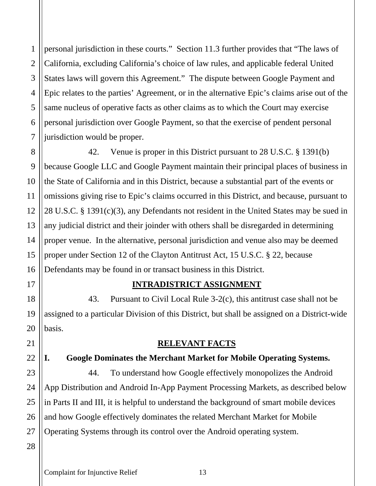1

2

3

personal jurisdiction in these courts." Section 11.3 further provides that "The laws of California, excluding California's choice of law rules, and applicable federal United States laws will govern this Agreement." The dispute between Google Payment and Epic relates to the parties' Agreement, or in the alternative Epic's claims arise out of the same nucleus of operative facts as other claims as to which the Court may exercise personal jurisdiction over Google Payment, so that the exercise of pendent personal jurisdiction would be proper.

42. Venue is proper in this District pursuant to 28 U.S.C. § 1391(b) because Google LLC and Google Payment maintain their principal places of business in the State of California and in this District, because a substantial part of the events or omissions giving rise to Epic's claims occurred in this District, and because, pursuant to 28 U.S.C. § 1391(c)(3), any Defendants not resident in the United States may be sued in any judicial district and their joinder with others shall be disregarded in determining proper venue. In the alternative, personal jurisdiction and venue also may be deemed proper under Section 12 of the Clayton Antitrust Act, 15 U.S.C. § 22, because Defendants may be found in or transact business in this District.

### **INTRADISTRICT ASSIGNMENT**

43. Pursuant to Civil Local Rule 3-2(c), this antitrust case shall not be assigned to a particular Division of this District, but shall be assigned on a District-wide

#### **RELEVANT FACTS**

#### **I. Google Dominates the Merchant Market for Mobile Operating Systems.**

44. To understand how Google effectively monopolizes the Android App Distribution and Android In-App Payment Processing Markets, as described below in Parts II and III, it is helpful to understand the background of smart mobile devices and how Google effectively dominates the related Merchant Market for Mobile Operating Systems through its control over the Android operating system.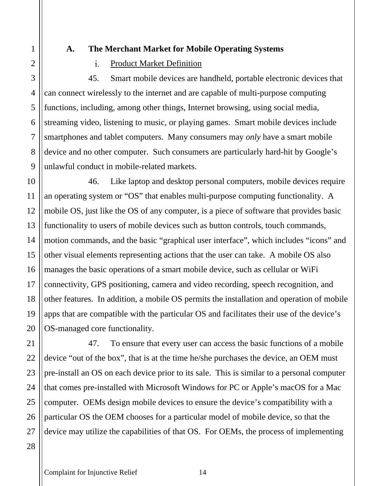# 1 2 3 4 5 6 7

8

9

11

12

17

21

22

23

24

25

26

#### **A. The Merchant Market for Mobile Operating Systems**

#### $\mathbf{i}$ . Product Market Definition

45. Smart mobile devices are handheld, portable electronic devices that can connect wirelessly to the internet and are capable of multi-purpose computing functions, including, among other things, Internet browsing, using social media, streaming video, listening to music, or playing games. Smart mobile devices include smartphones and tablet computers. Many consumers may *only* have a smart mobile device and no other computer. Such consumers are particularly hard-hit by Google's unlawful conduct in mobile-related markets.

10 13 14 15 16 18 19 20 46. Like laptop and desktop personal computers, mobile devices require an operating system or "OS" that enables multi-purpose computing functionality. A mobile OS, just like the OS of any computer, is a piece of software that provides basic functionality to users of mobile devices such as button controls, touch commands, motion commands, and the basic "graphical user interface", which includes "icons" and other visual elements representing actions that the user can take. A mobile OS also manages the basic operations of a smart mobile device, such as cellular or WiFi connectivity, GPS positioning, camera and video recording, speech recognition, and other features. In addition, a mobile OS permits the installation and operation of mobile apps that are compatible with the particular OS and facilitates their use of the device's OS-managed core functionality.

47. To ensure that every user can access the basic functions of a mobile device "out of the box", that is at the time he/she purchases the device, an OEM must pre-install an OS on each device prior to its sale. This is similar to a personal computer that comes pre-installed with Microsoft Windows for PC or Apple's macOS for a Mac computer. OEMs design mobile devices to ensure the device's compatibility with a particular OS the OEM chooses for a particular model of mobile device, so that the device may utilize the capabilities of that OS. For OEMs, the process of implementing

## 28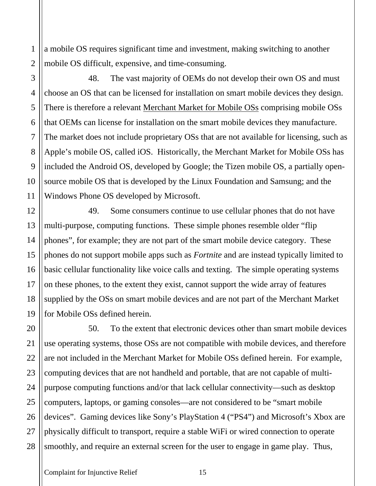a mobile OS requires significant time and investment, making switching to another mobile OS difficult, expensive, and time-consuming.

48. The vast majority of OEMs do not develop their own OS and must choose an OS that can be licensed for installation on smart mobile devices they design. There is therefore a relevant Merchant Market for Mobile OSs comprising mobile OSs that OEMs can license for installation on the smart mobile devices they manufacture. The market does not include proprietary OSs that are not available for licensing, such as Apple's mobile OS, called iOS. Historically, the Merchant Market for Mobile OSs has included the Android OS, developed by Google; the Tizen mobile OS, a partially opensource mobile OS that is developed by the Linux Foundation and Samsung; and the Windows Phone OS developed by Microsoft.

49. Some consumers continue to use cellular phones that do not have multi-purpose, computing functions. These simple phones resemble older "flip phones", for example; they are not part of the smart mobile device category. These phones do not support mobile apps such as *Fortnite* and are instead typically limited to basic cellular functionality like voice calls and texting. The simple operating systems on these phones, to the extent they exist, cannot support the wide array of features supplied by the OSs on smart mobile devices and are not part of the Merchant Market for Mobile OSs defined herein.

28 50. To the extent that electronic devices other than smart mobile devices use operating systems, those OSs are not compatible with mobile devices, and therefore are not included in the Merchant Market for Mobile OSs defined herein. For example, computing devices that are not handheld and portable, that are not capable of multipurpose computing functions and/or that lack cellular connectivity—such as desktop computers, laptops, or gaming consoles—are not considered to be "smart mobile devices". Gaming devices like Sony's PlayStation 4 ("PS4") and Microsoft's Xbox are physically difficult to transport, require a stable WiFi or wired connection to operate smoothly, and require an external screen for the user to engage in game play. Thus,

1

2

3

4

5

6

7

8

9

10

11

12

13

14

15

16

17

18

19

20

21

22

23

24

25

26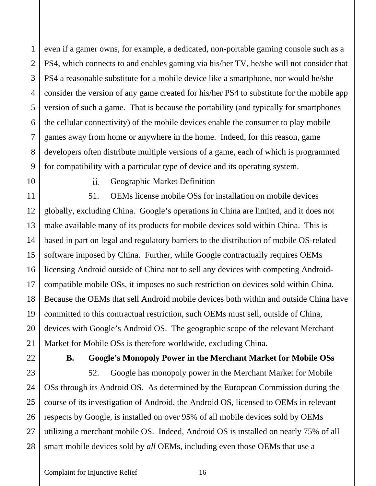even if a gamer owns, for example, a dedicated, non-portable gaming console such as a PS4, which connects to and enables gaming via his/her TV, he/she will not consider that PS4 a reasonable substitute for a mobile device like a smartphone, nor would he/she consider the version of any game created for his/her PS4 to substitute for the mobile app version of such a game. That is because the portability (and typically for smartphones the cellular connectivity) of the mobile devices enable the consumer to play mobile games away from home or anywhere in the home. Indeed, for this reason, game developers often distribute multiple versions of a game, each of which is programmed for compatibility with a particular type of device and its operating system.

10

1

2

3

4

5

6

7

8

9

11

12

13

14

15

16

17

18

19

20

21

22

23

24

25

26

27

28

#### $ii$ Geographic Market Definition

51. OEMs license mobile OSs for installation on mobile devices globally, excluding China. Google's operations in China are limited, and it does not make available many of its products for mobile devices sold within China. This is based in part on legal and regulatory barriers to the distribution of mobile OS-related software imposed by China. Further, while Google contractually requires OEMs licensing Android outside of China not to sell any devices with competing Androidcompatible mobile OSs, it imposes no such restriction on devices sold within China. Because the OEMs that sell Android mobile devices both within and outside China have committed to this contractual restriction, such OEMs must sell, outside of China, devices with Google's Android OS. The geographic scope of the relevant Merchant Market for Mobile OSs is therefore worldwide, excluding China.

#### **B. Google's Monopoly Power in the Merchant Market for Mobile OSs**

52. Google has monopoly power in the Merchant Market for Mobile OSs through its Android OS. As determined by the European Commission during the course of its investigation of Android, the Android OS, licensed to OEMs in relevant respects by Google, is installed on over 95% of all mobile devices sold by OEMs utilizing a merchant mobile OS. Indeed, Android OS is installed on nearly 75% of all smart mobile devices sold by *all* OEMs, including even those OEMs that use a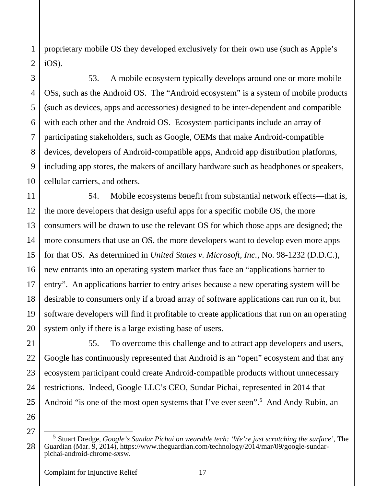proprietary mobile OS they developed exclusively for their own use (such as Apple's iOS).

53. A mobile ecosystem typically develops around one or more mobile OSs, such as the Android OS. The "Android ecosystem" is a system of mobile products (such as devices, apps and accessories) designed to be inter-dependent and compatible with each other and the Android OS. Ecosystem participants include an array of participating stakeholders, such as Google, OEMs that make Android-compatible devices, developers of Android-compatible apps, Android app distribution platforms, including app stores, the makers of ancillary hardware such as headphones or speakers, cellular carriers, and others.

54. Mobile ecosystems benefit from substantial network effects—that is, the more developers that design useful apps for a specific mobile OS, the more consumers will be drawn to use the relevant OS for which those apps are designed; the more consumers that use an OS, the more developers want to develop even more apps for that OS. As determined in *United States v. Microsoft, Inc.*, No. 98-1232 (D.D.C.), new entrants into an operating system market thus face an "applications barrier to entry". An applications barrier to entry arises because a new operating system will be desirable to consumers only if a broad array of software applications can run on it, but software developers will find it profitable to create applications that run on an operating system only if there is a large existing base of users.

55. To overcome this challenge and to attract app developers and users, Google has continuously represented that Android is an "open" ecosystem and that any ecosystem participant could create Android-compatible products without unnecessary restrictions. Indeed, Google LLC's CEO, Sundar Pichai, represented in 2014 that Android "is one of the most open systems that I've ever seen".<sup>5</sup> And Andy Rubin, an

26 27

28

1

2

3

4

5

6

7

8

9

10

11

12

13

14

15

16

17

18

19

20

21

22

23

24

<sup>5</sup> Stuart Dredge, *Google's Sundar Pichai on wearable tech: 'We're just scratching the surface'*, The Guardian (Mar. 9, 2014), https://www.theguardian.com/technology/2014/mar/09/google-sundarpichai-android-chrome-sxsw.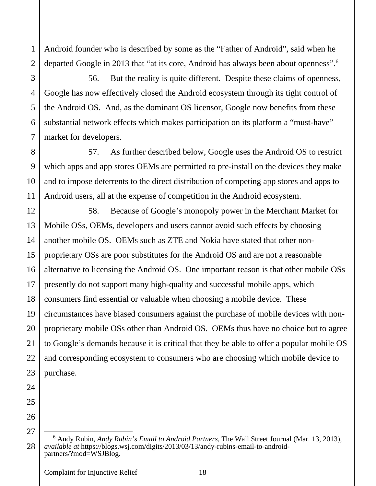Android founder who is described by some as the "Father of Android", said when he departed Google in 2013 that "at its core, Android has always been about openness".<sup>6</sup>

56. But the reality is quite different. Despite these claims of openness, Google has now effectively closed the Android ecosystem through its tight control of the Android OS. And, as the dominant OS licensor, Google now benefits from these substantial network effects which makes participation on its platform a "must-have" market for developers.

57. As further described below, Google uses the Android OS to restrict which apps and app stores OEMs are permitted to pre-install on the devices they make and to impose deterrents to the direct distribution of competing app stores and apps to Android users, all at the expense of competition in the Android ecosystem.

58. Because of Google's monopoly power in the Merchant Market for Mobile OSs, OEMs, developers and users cannot avoid such effects by choosing another mobile OS. OEMs such as ZTE and Nokia have stated that other nonproprietary OSs are poor substitutes for the Android OS and are not a reasonable alternative to licensing the Android OS. One important reason is that other mobile OSs presently do not support many high-quality and successful mobile apps, which consumers find essential or valuable when choosing a mobile device. These circumstances have biased consumers against the purchase of mobile devices with nonproprietary mobile OSs other than Android OS. OEMs thus have no choice but to agree to Google's demands because it is critical that they be able to offer a popular mobile OS and corresponding ecosystem to consumers who are choosing which mobile device to purchase.

1

2

3

<sup>6</sup> Andy Rubin, *Andy Rubin's Email to Android Partners*, The Wall Street Journal (Mar. 13, 2013), *available at* https://blogs.wsj.com/digits/2013/03/13/andy-rubins-email-to-androidpartners/?mod=WSJBlog.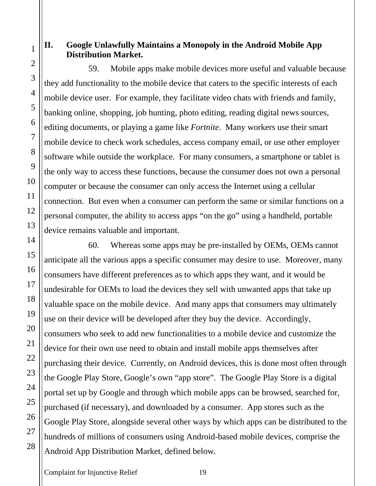#### **II. Google Unlawfully Maintains a Monopoly in the Android Mobile App Distribution Market.**

59. Mobile apps make mobile devices more useful and valuable because they add functionality to the mobile device that caters to the specific interests of each mobile device user. For example, they facilitate video chats with friends and family, banking online, shopping, job hunting, photo editing, reading digital news sources, editing documents, or playing a game like *Fortnite*. Many workers use their smart mobile device to check work schedules, access company email, or use other employer software while outside the workplace. For many consumers, a smartphone or tablet is the only way to access these functions, because the consumer does not own a personal computer or because the consumer can only access the Internet using a cellular connection. But even when a consumer can perform the same or similar functions on a personal computer, the ability to access apps "on the go" using a handheld, portable device remains valuable and important.

60. Whereas some apps may be pre-installed by OEMs, OEMs cannot anticipate all the various apps a specific consumer may desire to use. Moreover, many consumers have different preferences as to which apps they want, and it would be undesirable for OEMs to load the devices they sell with unwanted apps that take up valuable space on the mobile device. And many apps that consumers may ultimately use on their device will be developed after they buy the device. Accordingly, consumers who seek to add new functionalities to a mobile device and customize the device for their own use need to obtain and install mobile apps themselves after purchasing their device. Currently, on Android devices, this is done most often through the Google Play Store, Google's own "app store". The Google Play Store is a digital portal set up by Google and through which mobile apps can be browsed, searched for, purchased (if necessary), and downloaded by a consumer. App stores such as the Google Play Store, alongside several other ways by which apps can be distributed to the hundreds of millions of consumers using Android-based mobile devices, comprise the Android App Distribution Market, defined below.

Complaint for Injunctive Relief 19

1

2

3

4

5

6

7

8

9

10

11

12

13

14

15

16

17

18

19

20

21

22

23

24

25

26

27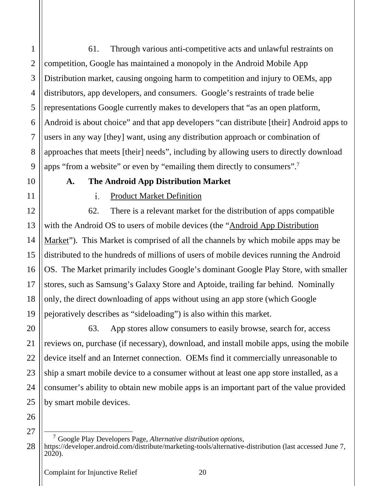61. Through various anti-competitive acts and unlawful restraints on competition, Google has maintained a monopoly in the Android Mobile App Distribution market, causing ongoing harm to competition and injury to OEMs, app distributors, app developers, and consumers. Google's restraints of trade belie representations Google currently makes to developers that "as an open platform, Android is about choice" and that app developers "can distribute [their] Android apps to users in any way [they] want, using any distribution approach or combination of approaches that meets [their] needs", including by allowing users to directly download apps "from a website" or even by "emailing them directly to consumers".<sup>7</sup>

10

1

2

3

4

5

6

7

8

9

11

12

13

14

15

16

17

18

19

20

21

22

23

24

25

#### **A. The Android App Distribution Market**

#### $\mathbf{i}$ . Product Market Definition

62. There is a relevant market for the distribution of apps compatible with the Android OS to users of mobile devices (the "Android App Distribution Market"). This Market is comprised of all the channels by which mobile apps may be distributed to the hundreds of millions of users of mobile devices running the Android OS. The Market primarily includes Google's dominant Google Play Store, with smaller stores, such as Samsung's Galaxy Store and Aptoide, trailing far behind. Nominally only, the direct downloading of apps without using an app store (which Google pejoratively describes as "sideloading") is also within this market.

63. App stores allow consumers to easily browse, search for, access reviews on, purchase (if necessary), download, and install mobile apps, using the mobile device itself and an Internet connection. OEMs find it commercially unreasonable to ship a smart mobile device to a consumer without at least one app store installed, as a consumer's ability to obtain new mobile apps is an important part of the value provided by smart mobile devices.

<sup>28</sup> <sup>7</sup> Google Play Developers Page, *Alternative distribution options*, https://developer.android.com/distribute/marketing-tools/alternative-distribution (last accessed June 7, 2020).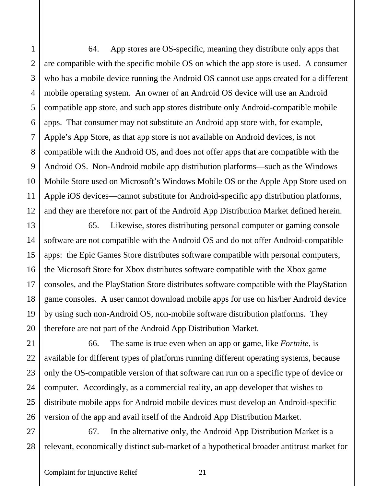64. App stores are OS-specific, meaning they distribute only apps that are compatible with the specific mobile OS on which the app store is used. A consumer who has a mobile device running the Android OS cannot use apps created for a different mobile operating system. An owner of an Android OS device will use an Android compatible app store, and such app stores distribute only Android-compatible mobile apps. That consumer may not substitute an Android app store with, for example, Apple's App Store, as that app store is not available on Android devices, is not compatible with the Android OS, and does not offer apps that are compatible with the Android OS. Non-Android mobile app distribution platforms—such as the Windows Mobile Store used on Microsoft's Windows Mobile OS or the Apple App Store used on Apple iOS devices—cannot substitute for Android-specific app distribution platforms, and they are therefore not part of the Android App Distribution Market defined herein.

65. Likewise, stores distributing personal computer or gaming console software are not compatible with the Android OS and do not offer Android-compatible apps: the Epic Games Store distributes software compatible with personal computers, the Microsoft Store for Xbox distributes software compatible with the Xbox game consoles, and the PlayStation Store distributes software compatible with the PlayStation game consoles. A user cannot download mobile apps for use on his/her Android device by using such non-Android OS, non-mobile software distribution platforms. They therefore are not part of the Android App Distribution Market.

66. The same is true even when an app or game, like *Fortnite*, is available for different types of platforms running different operating systems, because only the OS-compatible version of that software can run on a specific type of device or computer. Accordingly, as a commercial reality, an app developer that wishes to distribute mobile apps for Android mobile devices must develop an Android-specific version of the app and avail itself of the Android App Distribution Market.

67. In the alternative only, the Android App Distribution Market is a relevant, economically distinct sub-market of a hypothetical broader antitrust market for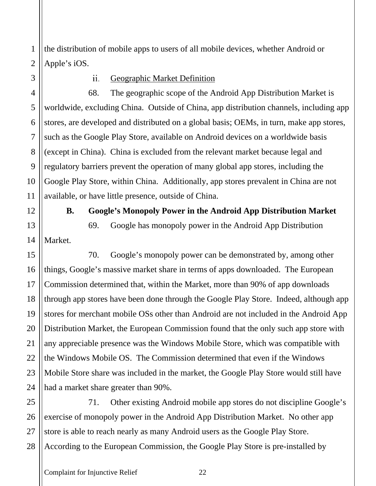the distribution of mobile apps to users of all mobile devices, whether Android or Apple's iOS.

1

2

3

4

5

6

7

8

9

10

11

12

13

14

15

16

17

18

19

20

21

22

23

24

#### $ii.$ Geographic Market Definition

68. The geographic scope of the Android App Distribution Market is worldwide, excluding China. Outside of China, app distribution channels, including app stores, are developed and distributed on a global basis; OEMs, in turn, make app stores, such as the Google Play Store, available on Android devices on a worldwide basis (except in China). China is excluded from the relevant market because legal and regulatory barriers prevent the operation of many global app stores, including the Google Play Store, within China. Additionally, app stores prevalent in China are not available, or have little presence, outside of China.

#### **B. Google's Monopoly Power in the Android App Distribution Market**

Market.

69. Google has monopoly power in the Android App Distribution

70. Google's monopoly power can be demonstrated by, among other things, Google's massive market share in terms of apps downloaded. The European Commission determined that, within the Market, more than 90% of app downloads through app stores have been done through the Google Play Store. Indeed, although app stores for merchant mobile OSs other than Android are not included in the Android App Distribution Market, the European Commission found that the only such app store with any appreciable presence was the Windows Mobile Store, which was compatible with the Windows Mobile OS. The Commission determined that even if the Windows Mobile Store share was included in the market, the Google Play Store would still have had a market share greater than 90%.

25 26 27 28 71. Other existing Android mobile app stores do not discipline Google's exercise of monopoly power in the Android App Distribution Market. No other app store is able to reach nearly as many Android users as the Google Play Store. According to the European Commission, the Google Play Store is pre-installed by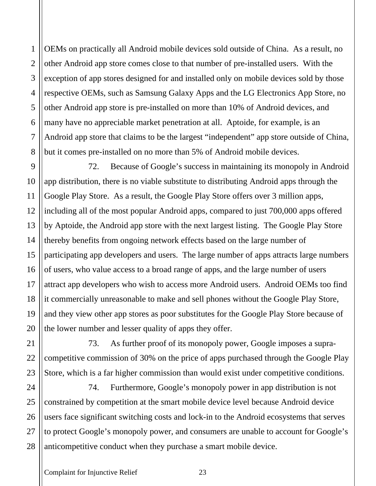2 3 4 5 6 7 8 9 OEMs on practically all Android mobile devices sold outside of China. As a result, no other Android app store comes close to that number of pre-installed users. With the exception of app stores designed for and installed only on mobile devices sold by those respective OEMs, such as Samsung Galaxy Apps and the LG Electronics App Store, no other Android app store is pre-installed on more than 10% of Android devices, and many have no appreciable market penetration at all. Aptoide, for example, is an Android app store that claims to be the largest "independent" app store outside of China, but it comes pre-installed on no more than 5% of Android mobile devices.

72. Because of Google's success in maintaining its monopoly in Android app distribution, there is no viable substitute to distributing Android apps through the Google Play Store. As a result, the Google Play Store offers over 3 million apps, including all of the most popular Android apps, compared to just 700,000 apps offered by Aptoide, the Android app store with the next largest listing. The Google Play Store thereby benefits from ongoing network effects based on the large number of participating app developers and users. The large number of apps attracts large numbers of users, who value access to a broad range of apps, and the large number of users attract app developers who wish to access more Android users. Android OEMs too find it commercially unreasonable to make and sell phones without the Google Play Store, and they view other app stores as poor substitutes for the Google Play Store because of the lower number and lesser quality of apps they offer.

73. As further proof of its monopoly power, Google imposes a supracompetitive commission of 30% on the price of apps purchased through the Google Play Store, which is a far higher commission than would exist under competitive conditions.

24 25 26 28 74. Furthermore, Google's monopoly power in app distribution is not constrained by competition at the smart mobile device level because Android device users face significant switching costs and lock-in to the Android ecosystems that serves to protect Google's monopoly power, and consumers are unable to account for Google's anticompetitive conduct when they purchase a smart mobile device.

1

10

11

12

13

14

15

16

17

18

19

20

21

22

23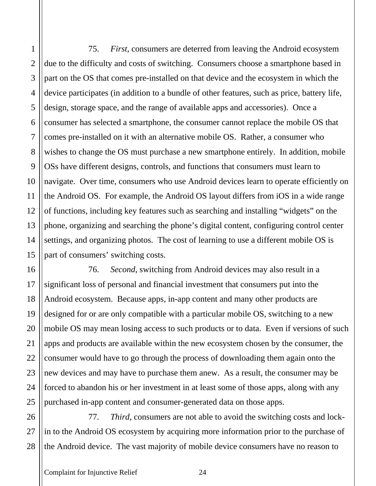1

75. *First*, consumers are deterred from leaving the Android ecosystem due to the difficulty and costs of switching. Consumers choose a smartphone based in part on the OS that comes pre-installed on that device and the ecosystem in which the device participates (in addition to a bundle of other features, such as price, battery life, design, storage space, and the range of available apps and accessories). Once a consumer has selected a smartphone, the consumer cannot replace the mobile OS that comes pre-installed on it with an alternative mobile OS. Rather, a consumer who wishes to change the OS must purchase a new smartphone entirely. In addition, mobile OSs have different designs, controls, and functions that consumers must learn to navigate. Over time, consumers who use Android devices learn to operate efficiently on the Android OS. For example, the Android OS layout differs from iOS in a wide range of functions, including key features such as searching and installing "widgets" on the phone, organizing and searching the phone's digital content, configuring control center settings, and organizing photos. The cost of learning to use a different mobile OS is part of consumers' switching costs.

76. *Second*, switching from Android devices may also result in a significant loss of personal and financial investment that consumers put into the Android ecosystem. Because apps, in-app content and many other products are designed for or are only compatible with a particular mobile OS, switching to a new mobile OS may mean losing access to such products or to data. Even if versions of such apps and products are available within the new ecosystem chosen by the consumer, the consumer would have to go through the process of downloading them again onto the new devices and may have to purchase them anew. As a result, the consumer may be forced to abandon his or her investment in at least some of those apps, along with any purchased in-app content and consumer-generated data on those apps.

77. *Third*, consumers are not able to avoid the switching costs and lockin to the Android OS ecosystem by acquiring more information prior to the purchase of the Android device. The vast majority of mobile device consumers have no reason to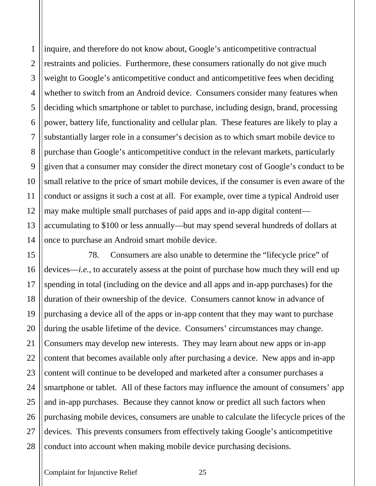28

1

inquire, and therefore do not know about, Google's anticompetitive contractual restraints and policies. Furthermore, these consumers rationally do not give much weight to Google's anticompetitive conduct and anticompetitive fees when deciding whether to switch from an Android device. Consumers consider many features when deciding which smartphone or tablet to purchase, including design, brand, processing power, battery life, functionality and cellular plan. These features are likely to play a substantially larger role in a consumer's decision as to which smart mobile device to purchase than Google's anticompetitive conduct in the relevant markets, particularly given that a consumer may consider the direct monetary cost of Google's conduct to be small relative to the price of smart mobile devices, if the consumer is even aware of the conduct or assigns it such a cost at all. For example, over time a typical Android user may make multiple small purchases of paid apps and in-app digital content accumulating to \$100 or less annually—but may spend several hundreds of dollars at once to purchase an Android smart mobile device.

78. Consumers are also unable to determine the "lifecycle price" of devices—*i.e.*, to accurately assess at the point of purchase how much they will end up spending in total (including on the device and all apps and in-app purchases) for the duration of their ownership of the device. Consumers cannot know in advance of purchasing a device all of the apps or in-app content that they may want to purchase during the usable lifetime of the device. Consumers' circumstances may change. Consumers may develop new interests. They may learn about new apps or in-app content that becomes available only after purchasing a device. New apps and in-app content will continue to be developed and marketed after a consumer purchases a smartphone or tablet. All of these factors may influence the amount of consumers' app and in-app purchases. Because they cannot know or predict all such factors when purchasing mobile devices, consumers are unable to calculate the lifecycle prices of the devices. This prevents consumers from effectively taking Google's anticompetitive conduct into account when making mobile device purchasing decisions.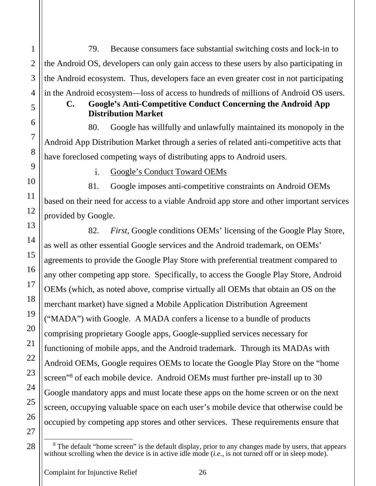79. Because consumers face substantial switching costs and lock-in to the Android OS, developers can only gain access to these users by also participating in the Android ecosystem. Thus, developers face an even greater cost in not participating in the Android ecosystem—loss of access to hundreds of millions of Android OS users.

### **C. Google's Anti-Competitive Conduct Concerning the Android App Distribution Market**

80. Google has willfully and unlawfully maintained its monopoly in the Android App Distribution Market through a series of related anti-competitive acts that have foreclosed competing ways of distributing apps to Android users.

> $\mathbf{i}$ . Google's Conduct Toward OEMs

81. Google imposes anti-competitive constraints on Android OEMs based on their need for access to a viable Android app store and other important services provided by Google.

82. *First*, Google conditions OEMs' licensing of the Google Play Store, as well as other essential Google services and the Android trademark, on OEMs' agreements to provide the Google Play Store with preferential treatment compared to any other competing app store. Specifically, to access the Google Play Store, Android OEMs (which, as noted above, comprise virtually all OEMs that obtain an OS on the merchant market) have signed a Mobile Application Distribution Agreement ("MADA") with Google. A MADA confers a license to a bundle of products comprising proprietary Google apps, Google-supplied services necessary for functioning of mobile apps, and the Android trademark. Through its MADAs with Android OEMs, Google requires OEMs to locate the Google Play Store on the "home screen<sup>38</sup> of each mobile device. Android OEMs must further pre-install up to 30 Google mandatory apps and must locate these apps on the home screen or on the next screen, occupying valuable space on each user's mobile device that otherwise could be occupied by competing app stores and other services. These requirements ensure that

28

1

2

3

4

5

6

7

8

9

10

11

12

13

14

15

16

17

18

19

20

21

22

<sup>&</sup>lt;sup>8</sup> The default "home screen" is the default display, prior to any changes made by users, that appears without scrolling when the device is in active idle mode (*i.e.*, is not turned off or in sleep mode).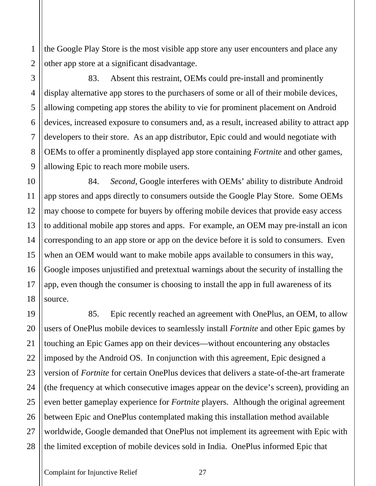the Google Play Store is the most visible app store any user encounters and place any other app store at a significant disadvantage.

83. Absent this restraint, OEMs could pre-install and prominently display alternative app stores to the purchasers of some or all of their mobile devices, allowing competing app stores the ability to vie for prominent placement on Android devices, increased exposure to consumers and, as a result, increased ability to attract app developers to their store. As an app distributor, Epic could and would negotiate with OEMs to offer a prominently displayed app store containing *Fortnite* and other games, allowing Epic to reach more mobile users.

84. *Second*, Google interferes with OEMs' ability to distribute Android app stores and apps directly to consumers outside the Google Play Store.Some OEMs may choose to compete for buyers by offering mobile devices that provide easy access to additional mobile app stores and apps. For example, an OEM may pre-install an icon corresponding to an app store or app on the device before it is sold to consumers. Even when an OEM would want to make mobile apps available to consumers in this way, Google imposes unjustified and pretextual warnings about the security of installing the app, even though the consumer is choosing to install the app in full awareness of its source.

85. Epic recently reached an agreement with OnePlus, an OEM, to allow users of OnePlus mobile devices to seamlessly install *Fortnite* and other Epic games by touching an Epic Games app on their devices—without encountering any obstacles imposed by the Android OS. In conjunction with this agreement, Epic designed a version of *Fortnite* for certain OnePlus devices that delivers a state-of-the-art framerate (the frequency at which consecutive images appear on the device's screen), providing an even better gameplay experience for *Fortnite* players. Although the original agreement between Epic and OnePlus contemplated making this installation method available worldwide, Google demanded that OnePlus not implement its agreement with Epic with the limited exception of mobile devices sold in India. OnePlus informed Epic that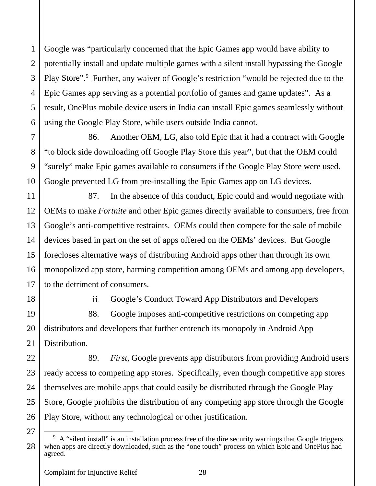Google was "particularly concerned that the Epic Games app would have ability to potentially install and update multiple games with a silent install bypassing the Google Play Store".<sup>9</sup> Further, any waiver of Google's restriction "would be rejected due to the Epic Games app serving as a potential portfolio of games and game updates". As a result, OnePlus mobile device users in India can install Epic games seamlessly without using the Google Play Store, while users outside India cannot.

86. Another OEM, LG, also told Epic that it had a contract with Google "to block side downloading off Google Play Store this year", but that the OEM could "surely" make Epic games available to consumers if the Google Play Store were used. Google prevented LG from pre-installing the Epic Games app on LG devices.

87. In the absence of this conduct, Epic could and would negotiate with OEMs to make *Fortnite* and other Epic games directly available to consumers, free from Google's anti-competitive restraints. OEMs could then compete for the sale of mobile devices based in part on the set of apps offered on the OEMs' devices. But Google forecloses alternative ways of distributing Android apps other than through its own monopolized app store, harming competition among OEMs and among app developers, to the detriment of consumers.

18

1

2

3

4

5

6

7

8

9

10

11

12

13

14

15

16

17

19

20

21

22

23

24

25

26

Google's Conduct Toward App Distributors and Developers  $ii.$ 

88. Google imposes anti-competitive restrictions on competing app distributors and developers that further entrench its monopoly in Android App Distribution.

89. *First*, Google prevents app distributors from providing Android users ready access to competing app stores. Specifically, even though competitive app stores themselves are mobile apps that could easily be distributed through the Google Play Store, Google prohibits the distribution of any competing app store through the Google Play Store, without any technological or other justification.

<sup>&</sup>lt;sup>9</sup> A "silent install" is an installation process free of the dire security warnings that Google triggers when apps are directly downloaded, such as the "one touch" process on which Epic and OnePlus had agreed.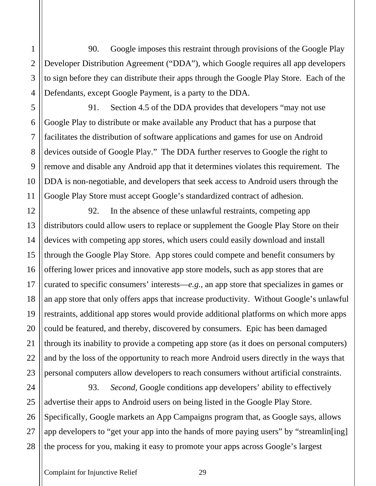90. Google imposes this restraint through provisions of the Google Play Developer Distribution Agreement ("DDA"), which Google requires all app developers to sign before they can distribute their apps through the Google Play Store. Each of the Defendants, except Google Payment, is a party to the DDA.

91. Section 4.5 of the DDA provides that developers "may not use Google Play to distribute or make available any Product that has a purpose that facilitates the distribution of software applications and games for use on Android devices outside of Google Play." The DDA further reserves to Google the right to remove and disable any Android app that it determines violates this requirement. The DDA is non-negotiable, and developers that seek access to Android users through the Google Play Store must accept Google's standardized contract of adhesion.

92. In the absence of these unlawful restraints, competing app distributors could allow users to replace or supplement the Google Play Store on their devices with competing app stores, which users could easily download and install through the Google Play Store. App stores could compete and benefit consumers by offering lower prices and innovative app store models, such as app stores that are curated to specific consumers' interests—*e.g.*, an app store that specializes in games or an app store that only offers apps that increase productivity. Without Google's unlawful restraints, additional app stores would provide additional platforms on which more apps could be featured, and thereby, discovered by consumers. Epic has been damaged through its inability to provide a competing app store (as it does on personal computers) and by the loss of the opportunity to reach more Android users directly in the ways that personal computers allow developers to reach consumers without artificial constraints.

93. *Second,* Google conditions app developers' ability to effectively advertise their apps to Android users on being listed in the Google Play Store. Specifically, Google markets an App Campaigns program that, as Google says, allows app developers to "get your app into the hands of more paying users" by "streamlin[ing] the process for you, making it easy to promote your apps across Google's largest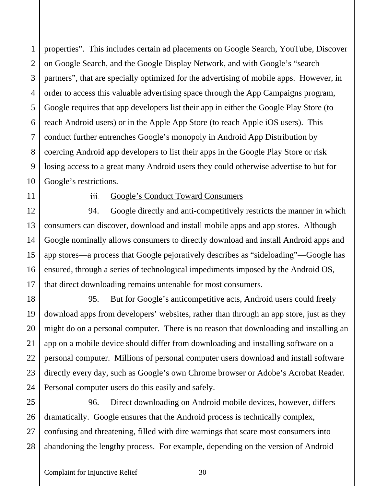10 properties". This includes certain ad placements on Google Search, YouTube, Discover on Google Search, and the Google Display Network, and with Google's "search partners", that are specially optimized for the advertising of mobile apps. However, in order to access this valuable advertising space through the App Campaigns program, Google requires that app developers list their app in either the Google Play Store (to reach Android users) or in the Apple App Store (to reach Apple iOS users). This conduct further entrenches Google's monopoly in Android App Distribution by coercing Android app developers to list their apps in the Google Play Store or risk losing access to a great many Android users they could otherwise advertise to but for Google's restrictions.

11 12

13

14

15

16

17

18

19

20

21

22

23

24

1

2

3

4

5

6

7

8

9

#### iii. Google's Conduct Toward Consumers

94. Google directly and anti-competitively restricts the manner in which consumers can discover, download and install mobile apps and app stores. Although Google nominally allows consumers to directly download and install Android apps and app stores—a process that Google pejoratively describes as "sideloading"—Google has ensured, through a series of technological impediments imposed by the Android OS, that direct downloading remains untenable for most consumers.

95. But for Google's anticompetitive acts, Android users could freely download apps from developers' websites, rather than through an app store, just as they might do on a personal computer. There is no reason that downloading and installing an app on a mobile device should differ from downloading and installing software on a personal computer. Millions of personal computer users download and install software directly every day, such as Google's own Chrome browser or Adobe's Acrobat Reader. Personal computer users do this easily and safely.

25 26 27 28 96. Direct downloading on Android mobile devices, however, differs dramatically. Google ensures that the Android process is technically complex, confusing and threatening, filled with dire warnings that scare most consumers into abandoning the lengthy process. For example, depending on the version of Android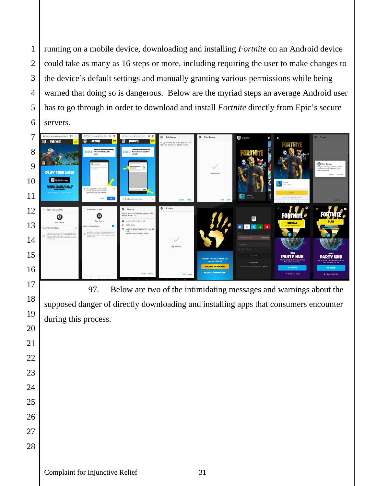running on a mobile device, downloading and installing *Fortnite* on an Android device could take as many as 16 steps or more, including requiring the user to make changes to the device's default settings and manually granting various permissions while being warned that doing so is dangerous. Below are the myriad steps an average Android user has to go through in order to download and install *Fortnite* directly from Epic's secure servers*.* 



97. Below are two of the intimidating messages and warnings about the supposed danger of directly downloading and installing apps that consumers encounter during this process.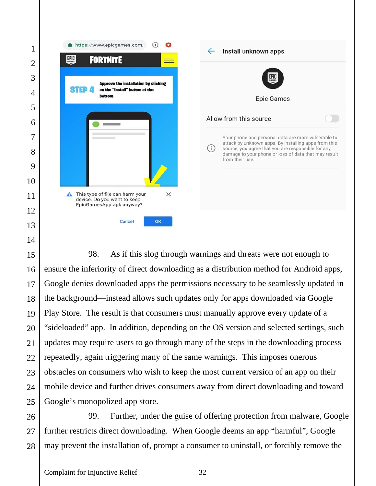

98. As if this slog through warnings and threats were not enough to ensure the inferiority of direct downloading as a distribution method for Android apps, Google denies downloaded apps the permissions necessary to be seamlessly updated in the background—instead allows such updates only for apps downloaded via Google Play Store. The result is that consumers must manually approve every update of a "sideloaded" app. In addition, depending on the OS version and selected settings, such updates may require users to go through many of the steps in the downloading process repeatedly, again triggering many of the same warnings. This imposes onerous obstacles on consumers who wish to keep the most current version of an app on their mobile device and further drives consumers away from direct downloading and toward Google's monopolized app store.

 99. Further, under the guise of offering protection from malware, Google further restricts direct downloading. When Google deems an app "harmful", Google may prevent the installation of, prompt a consumer to uninstall, or forcibly remove the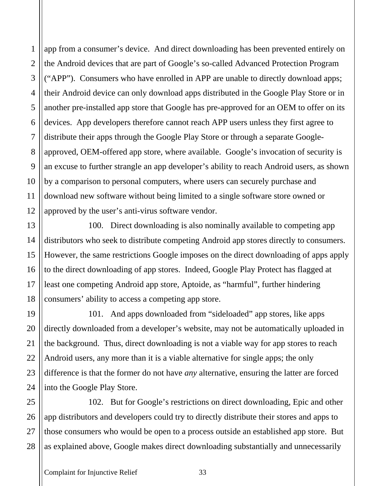app from a consumer's device. And direct downloading has been prevented entirely on the Android devices that are part of Google's so-called Advanced Protection Program ("APP"). Consumers who have enrolled in APP are unable to directly download apps; their Android device can only download apps distributed in the Google Play Store or in another pre-installed app store that Google has pre-approved for an OEM to offer on its devices. App developers therefore cannot reach APP users unless they first agree to distribute their apps through the Google Play Store or through a separate Googleapproved, OEM-offered app store, where available. Google's invocation of security is an excuse to further strangle an app developer's ability to reach Android users, as shown by a comparison to personal computers, where users can securely purchase and download new software without being limited to a single software store owned or approved by the user's anti-virus software vendor.

100. Direct downloading is also nominally available to competing app distributors who seek to distribute competing Android app stores directly to consumers. However, the same restrictions Google imposes on the direct downloading of apps apply to the direct downloading of app stores. Indeed, Google Play Protect has flagged at least one competing Android app store, Aptoide, as "harmful", further hindering consumers' ability to access a competing app store.

101. And apps downloaded from "sideloaded" app stores, like apps directly downloaded from a developer's website, may not be automatically uploaded in the background. Thus, direct downloading is not a viable way for app stores to reach Android users, any more than it is a viable alternative for single apps; the only difference is that the former do not have *any* alternative, ensuring the latter are forced into the Google Play Store.

25 26 27 28 102. But for Google's restrictions on direct downloading, Epic and other app distributors and developers could try to directly distribute their stores and apps to those consumers who would be open to a process outside an established app store. But as explained above, Google makes direct downloading substantially and unnecessarily

1

2

3

4

5

6

7

8

9

10

11

12

13

14

15

16

17

18

19

20

21

22

23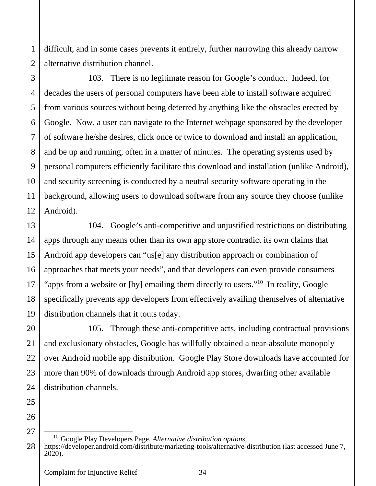difficult, and in some cases prevents it entirely, further narrowing this already narrow alternative distribution channel.

103. There is no legitimate reason for Google's conduct. Indeed, for decades the users of personal computers have been able to install software acquired from various sources without being deterred by anything like the obstacles erected by Google. Now, a user can navigate to the Internet webpage sponsored by the developer of software he/she desires, click once or twice to download and install an application, and be up and running, often in a matter of minutes. The operating systems used by personal computers efficiently facilitate this download and installation (unlike Android), and security screening is conducted by a neutral security software operating in the background, allowing users to download software from any source they choose (unlike Android).

104. Google's anti-competitive and unjustified restrictions on distributing apps through any means other than its own app store contradict its own claims that Android app developers can "us[e] any distribution approach or combination of approaches that meets your needs", and that developers can even provide consumers "apps from a website or [by] emailing them directly to users."<sup>10</sup> In reality, Google specifically prevents app developers from effectively availing themselves of alternative distribution channels that it touts today.

105. Through these anti-competitive acts, including contractual provisions and exclusionary obstacles, Google has willfully obtained a near-absolute monopoly over Android mobile app distribution. Google Play Store downloads have accounted for more than 90% of downloads through Android app stores, dwarfing other available distribution channels.

26

27

1

2

3

4

5

6

7

8

9

10

11

12

13

14

15

16

17

18

19

20

21

22

23

24

<sup>28</sup> <sup>10</sup> Google Play Developers Page, *Alternative distribution options,*  https://developer.android.com/distribute/marketing-tools/alternative-distribution (last accessed June 7, 2020).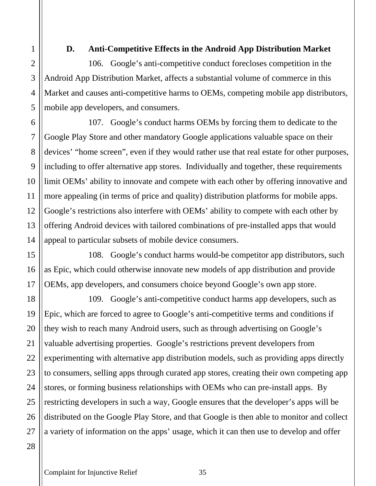1

#### **D. Anti-Competitive Effects in the Android App Distribution Market**

106. Google's anti-competitive conduct forecloses competition in the Android App Distribution Market, affects a substantial volume of commerce in this Market and causes anti-competitive harms to OEMs, competing mobile app distributors, mobile app developers, and consumers.

107. Google's conduct harms OEMs by forcing them to dedicate to the Google Play Store and other mandatory Google applications valuable space on their devices' "home screen", even if they would rather use that real estate for other purposes, including to offer alternative app stores. Individually and together, these requirements limit OEMs' ability to innovate and compete with each other by offering innovative and more appealing (in terms of price and quality) distribution platforms for mobile apps. Google's restrictions also interfere with OEMs' ability to compete with each other by offering Android devices with tailored combinations of pre-installed apps that would appeal to particular subsets of mobile device consumers.

108. Google's conduct harms would-be competitor app distributors, such as Epic, which could otherwise innovate new models of app distribution and provide OEMs, app developers, and consumers choice beyond Google's own app store.

109. Google's anti-competitive conduct harms app developers, such as Epic, which are forced to agree to Google's anti-competitive terms and conditions if they wish to reach many Android users, such as through advertising on Google's valuable advertising properties. Google's restrictions prevent developers from experimenting with alternative app distribution models, such as providing apps directly to consumers, selling apps through curated app stores, creating their own competing app stores, or forming business relationships with OEMs who can pre-install apps. By restricting developers in such a way, Google ensures that the developer's apps will be distributed on the Google Play Store, and that Google is then able to monitor and collect a variety of information on the apps' usage, which it can then use to develop and offer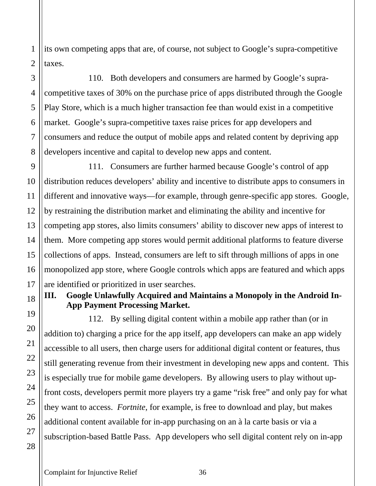its own competing apps that are, of course, not subject to Google's supra-competitive taxes.

110. Both developers and consumers are harmed by Google's supracompetitive taxes of 30% on the purchase price of apps distributed through the Google Play Store, which is a much higher transaction fee than would exist in a competitive market. Google's supra-competitive taxes raise prices for app developers and consumers and reduce the output of mobile apps and related content by depriving app developers incentive and capital to develop new apps and content.

111. Consumers are further harmed because Google's control of app distribution reduces developers' ability and incentive to distribute apps to consumers in different and innovative ways—for example, through genre-specific app stores. Google, by restraining the distribution market and eliminating the ability and incentive for competing app stores, also limits consumers' ability to discover new apps of interest to them. More competing app stores would permit additional platforms to feature diverse collections of apps. Instead, consumers are left to sift through millions of apps in one monopolized app store, where Google controls which apps are featured and which apps are identified or prioritized in user searches.

### **III. Google Unlawfully Acquired and Maintains a Monopoly in the Android In-App Payment Processing Market.**

112. By selling digital content within a mobile app rather than (or in addition to) charging a price for the app itself, app developers can make an app widely accessible to all users, then charge users for additional digital content or features, thus still generating revenue from their investment in developing new apps and content. This is especially true for mobile game developers. By allowing users to play without upfront costs, developers permit more players try a game "risk free" and only pay for what they want to access. *Fortnite*, for example, is free to download and play, but makes additional content available for in-app purchasing on an à la carte basis or via a subscription-based Battle Pass. App developers who sell digital content rely on in-app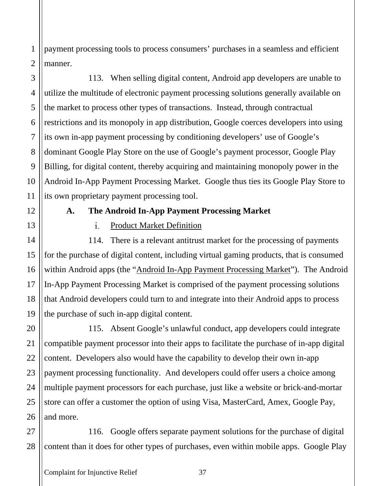payment processing tools to process consumers' purchases in a seamless and efficient manner.

113. When selling digital content, Android app developers are unable to utilize the multitude of electronic payment processing solutions generally available on the market to process other types of transactions. Instead, through contractual restrictions and its monopoly in app distribution, Google coerces developers into using its own in-app payment processing by conditioning developers' use of Google's dominant Google Play Store on the use of Google's payment processor, Google Play Billing, for digital content, thereby acquiring and maintaining monopoly power in the Android In-App Payment Processing Market. Google thus ties its Google Play Store to its own proprietary payment processing tool.

1

2

3

4

5

6

7

8

9

10

11

12

13

14

15

16

17

18

19

20

21

22

23

24

25

26

#### **A. The Android In-App Payment Processing Market**

#### $i_{-}$ Product Market Definition

114. There is a relevant antitrust market for the processing of payments for the purchase of digital content, including virtual gaming products, that is consumed within Android apps (the "Android In-App Payment Processing Market"). The Android In-App Payment Processing Market is comprised of the payment processing solutions that Android developers could turn to and integrate into their Android apps to process the purchase of such in-app digital content.

115. Absent Google's unlawful conduct, app developers could integrate compatible payment processor into their apps to facilitate the purchase of in-app digital content. Developers also would have the capability to develop their own in-app payment processing functionality. And developers could offer users a choice among multiple payment processors for each purchase, just like a website or brick-and-mortar store can offer a customer the option of using Visa, MasterCard, Amex, Google Pay, and more.

27 28 116. Google offers separate payment solutions for the purchase of digital content than it does for other types of purchases, even within mobile apps. Google Play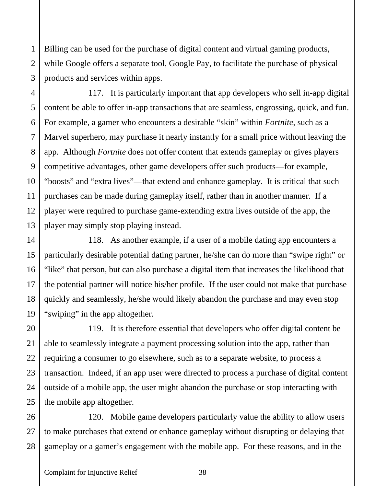Billing can be used for the purchase of digital content and virtual gaming products, while Google offers a separate tool, Google Pay, to facilitate the purchase of physical products and services within apps.

117. It is particularly important that app developers who sell in-app digital content be able to offer in-app transactions that are seamless, engrossing, quick, and fun. For example, a gamer who encounters a desirable "skin" within *Fortnite*, such as a Marvel superhero, may purchase it nearly instantly for a small price without leaving the app. Although *Fortnite* does not offer content that extends gameplay or gives players competitive advantages, other game developers offer such products—for example, "boosts" and "extra lives"—that extend and enhance gameplay. It is critical that such purchases can be made during gameplay itself, rather than in another manner. If a player were required to purchase game-extending extra lives outside of the app, the player may simply stop playing instead.

118. As another example, if a user of a mobile dating app encounters a particularly desirable potential dating partner, he/she can do more than "swipe right" or "like" that person, but can also purchase a digital item that increases the likelihood that the potential partner will notice his/her profile. If the user could not make that purchase quickly and seamlessly, he/she would likely abandon the purchase and may even stop "swiping" in the app altogether.

119. It is therefore essential that developers who offer digital content be able to seamlessly integrate a payment processing solution into the app, rather than requiring a consumer to go elsewhere, such as to a separate website, to process a transaction. Indeed, if an app user were directed to process a purchase of digital content outside of a mobile app, the user might abandon the purchase or stop interacting with the mobile app altogether.

26 27 28 120. Mobile game developers particularly value the ability to allow users to make purchases that extend or enhance gameplay without disrupting or delaying that gameplay or a gamer's engagement with the mobile app. For these reasons, and in the

1

2

3

4

5

6

7

8

9

10

11

12

13

14

15

16

17

18

19

20

21

22

23

24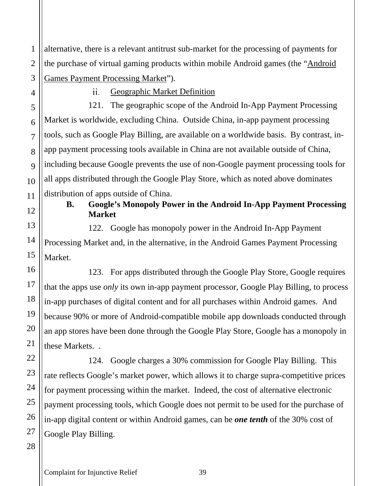1 2 3 alternative, there is a relevant antitrust sub-market for the processing of payments for the purchase of virtual gaming products within mobile Android games (the "Android Games Payment Processing Market").

4

5

6

7

8

9

10

11

12

13

14

15

16

17

18

19

20

21

22

23

24

25

26

27

Geographic Market Definition  $ii.$ 

121. The geographic scope of the Android In-App Payment Processing Market is worldwide, excluding China. Outside China, in-app payment processing tools, such as Google Play Billing, are available on a worldwide basis. By contrast, inapp payment processing tools available in China are not available outside of China, including because Google prevents the use of non-Google payment processing tools for all apps distributed through the Google Play Store, which as noted above dominates distribution of apps outside of China.

### **B. Google's Monopoly Power in the Android In-App Payment Processing Market**

122. Google has monopoly power in the Android In-App Payment Processing Market and, in the alternative, in the Android Games Payment Processing Market.

123. For apps distributed through the Google Play Store, Google requires that the apps use *only* its own in-app payment processor, Google Play Billing, to process in-app purchases of digital content and for all purchases within Android games. And because 90% or more of Android-compatible mobile app downloads conducted through an app stores have been done through the Google Play Store, Google has a monopoly in these Markets. .

124. Google charges a 30% commission for Google Play Billing. This rate reflects Google's market power, which allows it to charge supra-competitive prices for payment processing within the market. Indeed, the cost of alternative electronic payment processing tools, which Google does not permit to be used for the purchase of in-app digital content or within Android games, can be *one tenth* of the 30% cost of Google Play Billing.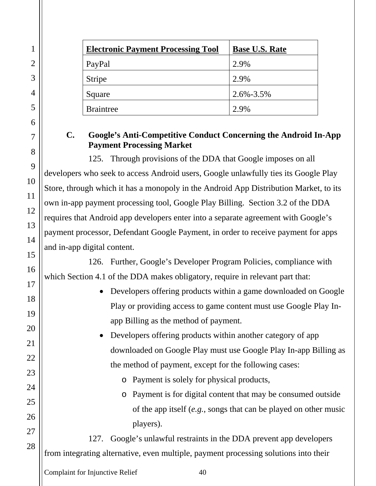| <b>Electronic Payment Processing Tool</b> | <b>Base U.S. Rate</b> |
|-------------------------------------------|-----------------------|
| PayPal                                    | 2.9%                  |
| <b>Stripe</b>                             | 2.9%                  |
| Square                                    | $2.6\% - 3.5\%$       |
| <b>Braintree</b>                          | 2.9%                  |

#### **C. Google's Anti-Competitive Conduct Concerning the Android In-App Payment Processing Market**

125. Through provisions of the DDA that Google imposes on all developers who seek to access Android users, Google unlawfully ties its Google Play Store, through which it has a monopoly in the Android App Distribution Market, to its own in-app payment processing tool, Google Play Billing. Section 3.2 of the DDA requires that Android app developers enter into a separate agreement with Google's payment processor, Defendant Google Payment, in order to receive payment for apps and in-app digital content.

126. Further, Google's Developer Program Policies, compliance with which Section 4.1 of the DDA makes obligatory, require in relevant part that:

> • Developers offering products within a game downloaded on Google Play or providing access to game content must use Google Play Inapp Billing as the method of payment.

> • Developers offering products within another category of app downloaded on Google Play must use Google Play In-app Billing as the method of payment, except for the following cases:

- o Payment is solely for physical products,
- o Payment is for digital content that may be consumed outside of the app itself (*e.g.*, songs that can be played on other music players).

127. Google's unlawful restraints in the DDA prevent app developers from integrating alternative, even multiple, payment processing solutions into their

Complaint for Injunctive Relief 40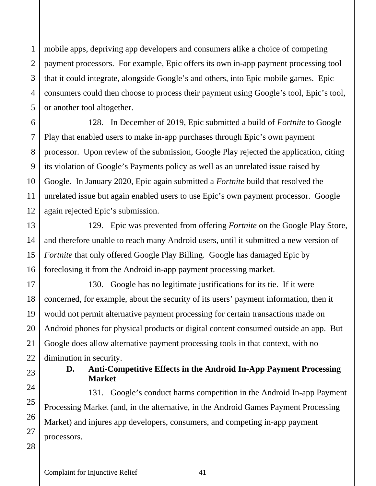1

2

3

mobile apps, depriving app developers and consumers alike a choice of competing payment processors. For example, Epic offers its own in-app payment processing tool that it could integrate, alongside Google's and others, into Epic mobile games. Epic consumers could then choose to process their payment using Google's tool, Epic's tool, or another tool altogether.

128. In December of 2019, Epic submitted a build of *Fortnite* to Google Play that enabled users to make in-app purchases through Epic's own payment processor. Upon review of the submission, Google Play rejected the application, citing its violation of Google's Payments policy as well as an unrelated issue raised by Google. In January 2020, Epic again submitted a *Fortnite* build that resolved the unrelated issue but again enabled users to use Epic's own payment processor. Google again rejected Epic's submission.

129. Epic was prevented from offering *Fortnite* on the Google Play Store, and therefore unable to reach many Android users, until it submitted a new version of *Fortnite* that only offered Google Play Billing. Google has damaged Epic by foreclosing it from the Android in-app payment processing market.

130. Google has no legitimate justifications for its tie. If it were concerned, for example, about the security of its users' payment information, then it would not permit alternative payment processing for certain transactions made on Android phones for physical products or digital content consumed outside an app. But Google does allow alternative payment processing tools in that context, with no diminution in security.

### **D. Anti-Competitive Effects in the Android In-App Payment Processing Market**

131. Google's conduct harms competition in the Android In-app Payment Processing Market (and, in the alternative, in the Android Games Payment Processing Market) and injures app developers, consumers, and competing in-app payment processors.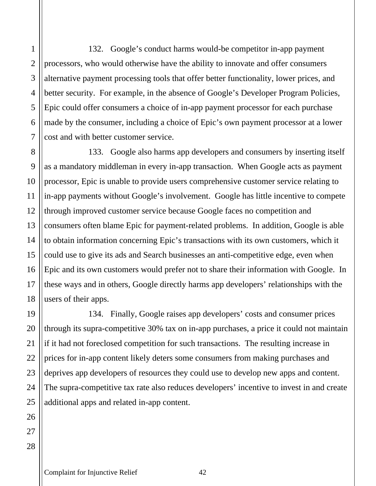132. Google's conduct harms would-be competitor in-app payment processors, who would otherwise have the ability to innovate and offer consumers alternative payment processing tools that offer better functionality, lower prices, and better security. For example, in the absence of Google's Developer Program Policies, Epic could offer consumers a choice of in-app payment processor for each purchase made by the consumer, including a choice of Epic's own payment processor at a lower cost and with better customer service.

133. Google also harms app developers and consumers by inserting itself as a mandatory middleman in every in-app transaction. When Google acts as payment processor, Epic is unable to provide users comprehensive customer service relating to in-app payments without Google's involvement. Google has little incentive to compete through improved customer service because Google faces no competition and consumers often blame Epic for payment-related problems. In addition, Google is able to obtain information concerning Epic's transactions with its own customers, which it could use to give its ads and Search businesses an anti-competitive edge, even when Epic and its own customers would prefer not to share their information with Google. In these ways and in others, Google directly harms app developers' relationships with the users of their apps.

134. Finally, Google raises app developers' costs and consumer prices through its supra-competitive 30% tax on in-app purchases, a price it could not maintain if it had not foreclosed competition for such transactions. The resulting increase in prices for in-app content likely deters some consumers from making purchases and deprives app developers of resources they could use to develop new apps and content. The supra-competitive tax rate also reduces developers' incentive to invest in and create additional apps and related in-app content.

1

Complaint for Injunctive Relief 42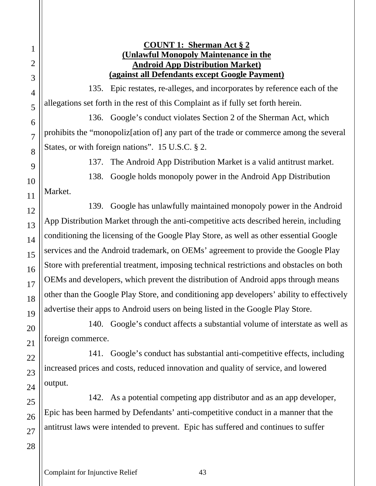**COUNT 1: Sherman Act § 2 (Unlawful Monopoly Maintenance in the Android App Distribution Market) (against all Defendants except Google Payment)** 

135. Epic restates, re-alleges, and incorporates by reference each of the allegations set forth in the rest of this Complaint as if fully set forth herein.

136. Google's conduct violates Section 2 of the Sherman Act, which prohibits the "monopoliz[ation of] any part of the trade or commerce among the several States, or with foreign nations". 15 U.S.C. § 2.

137. The Android App Distribution Market is a valid antitrust market.

138. Google holds monopoly power in the Android App Distribution Market.

139. Google has unlawfully maintained monopoly power in the Android App Distribution Market through the anti-competitive acts described herein, including conditioning the licensing of the Google Play Store, as well as other essential Google services and the Android trademark, on OEMs' agreement to provide the Google Play Store with preferential treatment, imposing technical restrictions and obstacles on both OEMs and developers, which prevent the distribution of Android apps through means other than the Google Play Store, and conditioning app developers' ability to effectively advertise their apps to Android users on being listed in the Google Play Store.

140. Google's conduct affects a substantial volume of interstate as well as foreign commerce.

141. Google's conduct has substantial anti-competitive effects, including increased prices and costs, reduced innovation and quality of service, and lowered output.

142. As a potential competing app distributor and as an app developer, Epic has been harmed by Defendants' anti-competitive conduct in a manner that the antitrust laws were intended to prevent. Epic has suffered and continues to suffer

1

2

3

4

5

6

7

8

9

10

11

12

13

14

15

16

17

18

19

Complaint for Injunctive Relief 43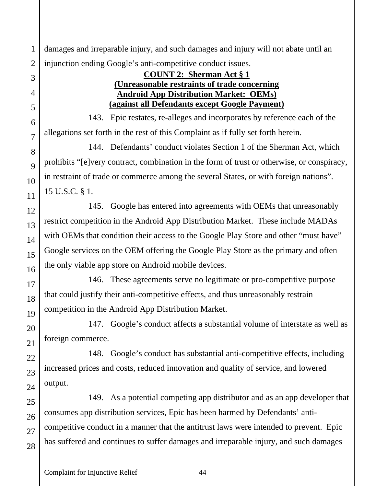1 damages and irreparable injury, and such damages and injury will not abate until an injunction ending Google's anti-competitive conduct issues.

#### **COUNT 2: Sherman Act § 1 (Unreasonable restraints of trade concerning Android App Distribution Market: OEMs) (against all Defendants except Google Payment)**

143. Epic restates, re-alleges and incorporates by reference each of the allegations set forth in the rest of this Complaint as if fully set forth herein.

144. Defendants' conduct violates Section 1 of the Sherman Act, which prohibits "[e]very contract, combination in the form of trust or otherwise, or conspiracy, in restraint of trade or commerce among the several States, or with foreign nations". 15 U.S.C. § 1.

145. Google has entered into agreements with OEMs that unreasonably restrict competition in the Android App Distribution Market. These include MADAs with OEMs that condition their access to the Google Play Store and other "must have" Google services on the OEM offering the Google Play Store as the primary and often the only viable app store on Android mobile devices.

146. These agreements serve no legitimate or pro-competitive purpose that could justify their anti-competitive effects, and thus unreasonably restrain competition in the Android App Distribution Market.

147. Google's conduct affects a substantial volume of interstate as well as foreign commerce.

148. Google's conduct has substantial anti-competitive effects, including increased prices and costs, reduced innovation and quality of service, and lowered output.

149. As a potential competing app distributor and as an app developer that consumes app distribution services, Epic has been harmed by Defendants' anticompetitive conduct in a manner that the antitrust laws were intended to prevent. Epic has suffered and continues to suffer damages and irreparable injury, and such damages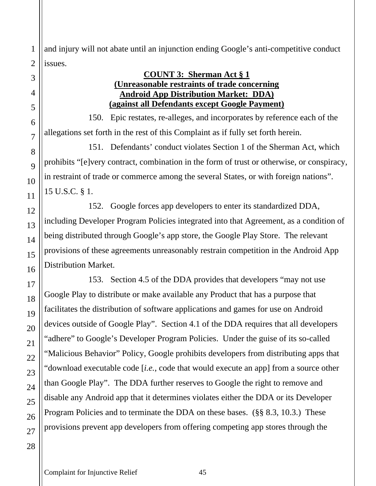and injury will not abate until an injunction ending Google's anti-competitive conduct issues.

#### **COUNT 3: Sherman Act § 1 (Unreasonable restraints of trade concerning Android App Distribution Market: DDA) (against all Defendants except Google Payment)**

150. Epic restates, re-alleges, and incorporates by reference each of the allegations set forth in the rest of this Complaint as if fully set forth herein.

151. Defendants' conduct violates Section 1 of the Sherman Act, which prohibits "[e]very contract, combination in the form of trust or otherwise, or conspiracy, in restraint of trade or commerce among the several States, or with foreign nations". 15 U.S.C. § 1.

152. Google forces app developers to enter its standardized DDA, including Developer Program Policies integrated into that Agreement, as a condition of being distributed through Google's app store, the Google Play Store. The relevant provisions of these agreements unreasonably restrain competition in the Android App Distribution Market.

153. Section 4.5 of the DDA provides that developers "may not use Google Play to distribute or make available any Product that has a purpose that facilitates the distribution of software applications and games for use on Android devices outside of Google Play". Section 4.1 of the DDA requires that all developers "adhere" to Google's Developer Program Policies. Under the guise of its so-called "Malicious Behavior" Policy, Google prohibits developers from distributing apps that "download executable code [*i.e.*, code that would execute an app] from a source other than Google Play". The DDA further reserves to Google the right to remove and disable any Android app that it determines violates either the DDA or its Developer Program Policies and to terminate the DDA on these bases. (§§ 8.3, 10.3.) These provisions prevent app developers from offering competing app stores through the

1

2

3

4

5

6

7

8

9

10

11

12

13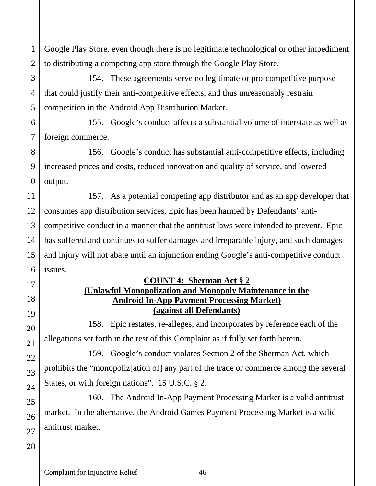Google Play Store, even though there is no legitimate technological or other impediment to distributing a competing app store through the Google Play Store.

154. These agreements serve no legitimate or pro-competitive purpose that could justify their anti-competitive effects, and thus unreasonably restrain competition in the Android App Distribution Market.

6 7 155. Google's conduct affects a substantial volume of interstate as well as foreign commerce.

156. Google's conduct has substantial anti-competitive effects, including increased prices and costs, reduced innovation and quality of service, and lowered output.

11 12 13 14 15 16 157. As a potential competing app distributor and as an app developer that consumes app distribution services, Epic has been harmed by Defendants' anticompetitive conduct in a manner that the antitrust laws were intended to prevent. Epic has suffered and continues to suffer damages and irreparable injury, and such damages and injury will not abate until an injunction ending Google's anti-competitive conduct issues.

#### **COUNT 4: Sherman Act § 2 (Unlawful Monopolization and Monopoly Maintenance in the Android In-App Payment Processing Market) (against all Defendants)**

158. Epic restates, re-alleges, and incorporates by reference each of the allegations set forth in the rest of this Complaint as if fully set forth herein.

159. Google's conduct violates Section 2 of the Sherman Act, which prohibits the "monopoliz[ation of] any part of the trade or commerce among the several States, or with foreign nations". 15 U.S.C. § 2.

160. The Android In-App Payment Processing Market is a valid antitrust market. In the alternative, the Android Games Payment Processing Market is a valid antitrust market.

## 28

27

1

2

3

4

5

8

9

10

17

18

19

20

21

22

23

24

25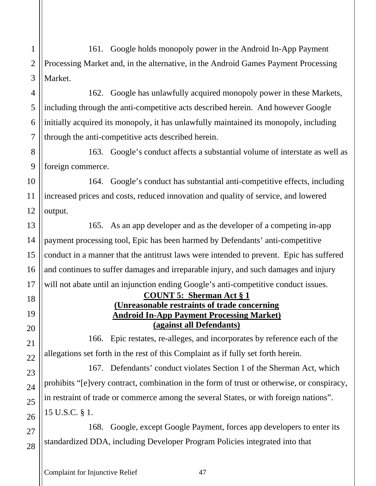161. Google holds monopoly power in the Android In-App Payment Processing Market and, in the alternative, in the Android Games Payment Processing Market.

162. Google has unlawfully acquired monopoly power in these Markets, including through the anti-competitive acts described herein. And however Google initially acquired its monopoly, it has unlawfully maintained its monopoly, including through the anti-competitive acts described herein.

163. Google's conduct affects a substantial volume of interstate as well as foreign commerce.

164. Google's conduct has substantial anti-competitive effects, including increased prices and costs, reduced innovation and quality of service, and lowered output.

165. As an app developer and as the developer of a competing in-app payment processing tool, Epic has been harmed by Defendants' anti-competitive conduct in a manner that the antitrust laws were intended to prevent. Epic has suffered and continues to suffer damages and irreparable injury, and such damages and injury will not abate until an injunction ending Google's anti-competitive conduct issues.

#### **COUNT 5: Sherman Act § 1 (Unreasonable restraints of trade concerning Android In-App Payment Processing Market) (against all Defendants)**

166. Epic restates, re-alleges, and incorporates by reference each of the allegations set forth in the rest of this Complaint as if fully set forth herein.

167. Defendants' conduct violates Section 1 of the Sherman Act, which prohibits "[e]very contract, combination in the form of trust or otherwise, or conspiracy, in restraint of trade or commerce among the several States, or with foreign nations". 15 U.S.C. § 1.

168. Google, except Google Payment, forces app developers to enter its standardized DDA, including Developer Program Policies integrated into that

Complaint for Injunctive Relief 47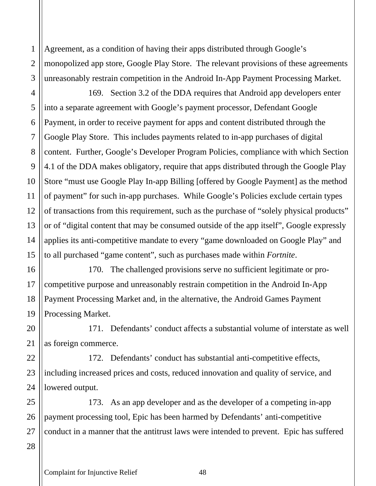Agreement, as a condition of having their apps distributed through Google's monopolized app store, Google Play Store. The relevant provisions of these agreements unreasonably restrain competition in the Android In-App Payment Processing Market.

169. Section 3.2 of the DDA requires that Android app developers enter into a separate agreement with Google's payment processor, Defendant Google Payment, in order to receive payment for apps and content distributed through the Google Play Store. This includes payments related to in-app purchases of digital content. Further, Google's Developer Program Policies, compliance with which Section 4.1 of the DDA makes obligatory, require that apps distributed through the Google Play Store "must use Google Play In-app Billing [offered by Google Payment] as the method of payment" for such in-app purchases. While Google's Policies exclude certain types of transactions from this requirement, such as the purchase of "solely physical products" or of "digital content that may be consumed outside of the app itself", Google expressly applies its anti-competitive mandate to every "game downloaded on Google Play" and to all purchased "game content", such as purchases made within *Fortnite*.

170. The challenged provisions serve no sufficient legitimate or procompetitive purpose and unreasonably restrain competition in the Android In-App Payment Processing Market and, in the alternative, the Android Games Payment Processing Market.

171. Defendants' conduct affects a substantial volume of interstate as well as foreign commerce.

172. Defendants' conduct has substantial anti-competitive effects, including increased prices and costs, reduced innovation and quality of service, and lowered output.

25 26 173. As an app developer and as the developer of a competing in-app payment processing tool, Epic has been harmed by Defendants' anti-competitive conduct in a manner that the antitrust laws were intended to prevent. Epic has suffered

1

2

3

4

5

6

7

8

9

10

11

12

13

14

15

16

17

18

19

20

21

22

23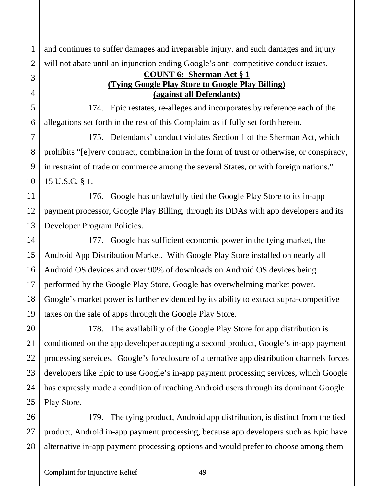and continues to suffer damages and irreparable injury, and such damages and injury will not abate until an injunction ending Google's anti-competitive conduct issues.

#### **COUNT 6: Sherman Act § 1 (Tying Google Play Store to Google Play Billing) (against all Defendants)**

174. Epic restates, re-alleges and incorporates by reference each of the allegations set forth in the rest of this Complaint as if fully set forth herein.

175. Defendants' conduct violates Section 1 of the Sherman Act, which prohibits "[e]very contract, combination in the form of trust or otherwise, or conspiracy, in restraint of trade or commerce among the several States, or with foreign nations." 15 U.S.C. § 1.

176. Google has unlawfully tied the Google Play Store to its in-app payment processor, Google Play Billing, through its DDAs with app developers and its Developer Program Policies.

177. Google has sufficient economic power in the tying market, the Android App Distribution Market. With Google Play Store installed on nearly all Android OS devices and over 90% of downloads on Android OS devices being performed by the Google Play Store, Google has overwhelming market power. Google's market power is further evidenced by its ability to extract supra-competitive taxes on the sale of apps through the Google Play Store.

178. The availability of the Google Play Store for app distribution is conditioned on the app developer accepting a second product, Google's in-app payment processing services. Google's foreclosure of alternative app distribution channels forces developers like Epic to use Google's in-app payment processing services, which Google has expressly made a condition of reaching Android users through its dominant Google Play Store.

179. The tying product, Android app distribution, is distinct from the tied product, Android in-app payment processing, because app developers such as Epic have alternative in-app payment processing options and would prefer to choose among them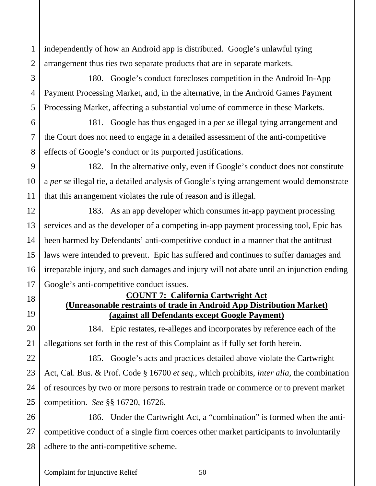independently of how an Android app is distributed. Google's unlawful tying arrangement thus ties two separate products that are in separate markets.

180. Google's conduct forecloses competition in the Android In-App Payment Processing Market, and, in the alternative, in the Android Games Payment Processing Market, affecting a substantial volume of commerce in these Markets.

181. Google has thus engaged in a *per se* illegal tying arrangement and the Court does not need to engage in a detailed assessment of the anti-competitive effects of Google's conduct or its purported justifications.

182. In the alternative only, even if Google's conduct does not constitute a *per se* illegal tie, a detailed analysis of Google's tying arrangement would demonstrate that this arrangement violates the rule of reason and is illegal.

183. As an app developer which consumes in-app payment processing services and as the developer of a competing in-app payment processing tool, Epic has been harmed by Defendants' anti-competitive conduct in a manner that the antitrust laws were intended to prevent. Epic has suffered and continues to suffer damages and irreparable injury, and such damages and injury will not abate until an injunction ending Google's anti-competitive conduct issues.

#### **COUNT 7: California Cartwright Act (Unreasonable restraints of trade in Android App Distribution Market) (against all Defendants except Google Payment)**

184. Epic restates, re-alleges and incorporates by reference each of the allegations set forth in the rest of this Complaint as if fully set forth herein.

185. Google's acts and practices detailed above violate the Cartwright Act, Cal. Bus. & Prof. Code § 16700 *et seq.*, which prohibits, *inter alia*, the combination of resources by two or more persons to restrain trade or commerce or to prevent market competition. *See* §§ 16720, 16726.

186. Under the Cartwright Act, a "combination" is formed when the anticompetitive conduct of a single firm coerces other market participants to involuntarily adhere to the anti-competitive scheme.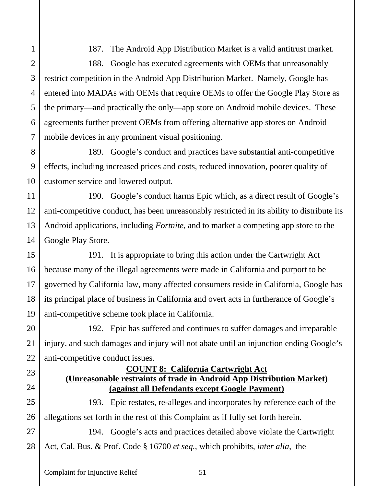187. The Android App Distribution Market is a valid antitrust market.

188. Google has executed agreements with OEMs that unreasonably restrict competition in the Android App Distribution Market. Namely, Google has entered into MADAs with OEMs that require OEMs to offer the Google Play Store as the primary—and practically the only—app store on Android mobile devices. These agreements further prevent OEMs from offering alternative app stores on Android mobile devices in any prominent visual positioning.

189. Google's conduct and practices have substantial anti-competitive effects, including increased prices and costs, reduced innovation, poorer quality of customer service and lowered output.

190. Google's conduct harms Epic which, as a direct result of Google's anti-competitive conduct, has been unreasonably restricted in its ability to distribute its Android applications, including *Fortnite*, and to market a competing app store to the Google Play Store.

191. It is appropriate to bring this action under the Cartwright Act because many of the illegal agreements were made in California and purport to be governed by California law, many affected consumers reside in California, Google has its principal place of business in California and overt acts in furtherance of Google's anti-competitive scheme took place in California.

192. Epic has suffered and continues to suffer damages and irreparable injury, and such damages and injury will not abate until an injunction ending Google's anti-competitive conduct issues.

### **COUNT 8: California Cartwright Act (Unreasonable restraints of trade in Android App Distribution Market) (against all Defendants except Google Payment)**

193. Epic restates, re-alleges and incorporates by reference each of the allegations set forth in the rest of this Complaint as if fully set forth herein.

27 28 194. Google's acts and practices detailed above violate the Cartwright Act, Cal. Bus. & Prof. Code § 16700 *et seq.*, which prohibits, *inter alia*, the

1

2

3

4

5

6

7

8

9

10

11

12

13

14

15

16

17

18

19

20

21

22

23

24

25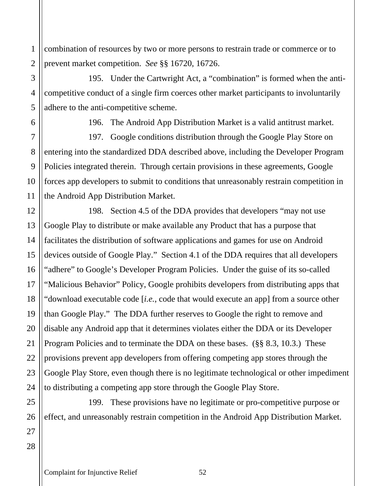combination of resources by two or more persons to restrain trade or commerce or to prevent market competition. *See* §§ 16720, 16726.

195. Under the Cartwright Act, a "combination" is formed when the anticompetitive conduct of a single firm coerces other market participants to involuntarily adhere to the anti-competitive scheme.

1

2

3

4

5

6

7

8

9

10

11

12

13

14

15

16

17

18

19

20

196. The Android App Distribution Market is a valid antitrust market.

197. Google conditions distribution through the Google Play Store on entering into the standardized DDA described above, including the Developer Program Policies integrated therein. Through certain provisions in these agreements, Google forces app developers to submit to conditions that unreasonably restrain competition in the Android App Distribution Market.

198. Section 4.5 of the DDA provides that developers "may not use Google Play to distribute or make available any Product that has a purpose that facilitates the distribution of software applications and games for use on Android devices outside of Google Play." Section 4.1 of the DDA requires that all developers "adhere" to Google's Developer Program Policies. Under the guise of its so-called "Malicious Behavior" Policy, Google prohibits developers from distributing apps that "download executable code [*i.e.*, code that would execute an app] from a source other than Google Play." The DDA further reserves to Google the right to remove and disable any Android app that it determines violates either the DDA or its Developer Program Policies and to terminate the DDA on these bases. (§§ 8.3, 10.3.) These provisions prevent app developers from offering competing app stores through the Google Play Store, even though there is no legitimate technological or other impediment to distributing a competing app store through the Google Play Store.

199. These provisions have no legitimate or pro-competitive purpose or effect, and unreasonably restrain competition in the Android App Distribution Market.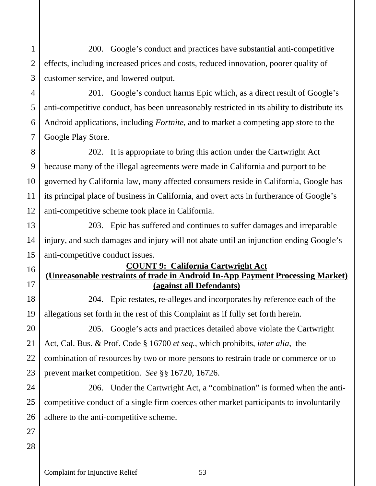200. Google's conduct and practices have substantial anti-competitive effects, including increased prices and costs, reduced innovation, poorer quality of customer service, and lowered output.

201. Google's conduct harms Epic which, as a direct result of Google's anti-competitive conduct, has been unreasonably restricted in its ability to distribute its Android applications, including *Fortnite*, and to market a competing app store to the Google Play Store.

202. It is appropriate to bring this action under the Cartwright Act because many of the illegal agreements were made in California and purport to be governed by California law, many affected consumers reside in California, Google has its principal place of business in California, and overt acts in furtherance of Google's anti-competitive scheme took place in California.

203. Epic has suffered and continues to suffer damages and irreparable injury, and such damages and injury will not abate until an injunction ending Google's anti-competitive conduct issues.

#### **COUNT 9: California Cartwright Act**

## **(Unreasonable restraints of trade in Android In-App Payment Processing Market) (against all Defendants)**

204. Epic restates, re-alleges and incorporates by reference each of the allegations set forth in the rest of this Complaint as if fully set forth herein.

205. Google's acts and practices detailed above violate the Cartwright Act, Cal. Bus. & Prof. Code § 16700 *et seq.*, which prohibits, *inter alia*, the combination of resources by two or more persons to restrain trade or commerce or to prevent market competition. *See* §§ 16720, 16726.

206. Under the Cartwright Act, a "combination" is formed when the anticompetitive conduct of a single firm coerces other market participants to involuntarily adhere to the anti-competitive scheme.

### 27 28

1

2

3

4

5

6

7

8

9

10

11

12

13

14

15

16

17

18

19

20

21

22

23

24

25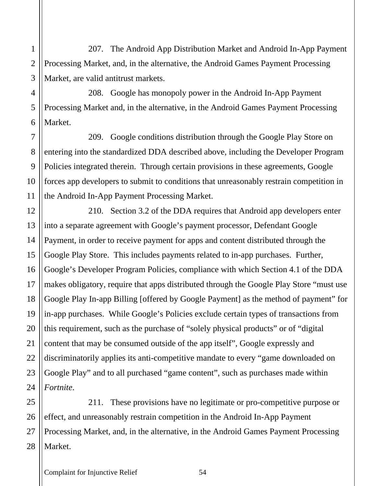207. The Android App Distribution Market and Android In-App Payment Processing Market, and, in the alternative, the Android Games Payment Processing Market, are valid antitrust markets.

208. Google has monopoly power in the Android In-App Payment Processing Market and, in the alternative, in the Android Games Payment Processing Market.

209. Google conditions distribution through the Google Play Store on entering into the standardized DDA described above, including the Developer Program Policies integrated therein. Through certain provisions in these agreements, Google forces app developers to submit to conditions that unreasonably restrain competition in the Android In-App Payment Processing Market.

210. Section 3.2 of the DDA requires that Android app developers enter into a separate agreement with Google's payment processor, Defendant Google Payment, in order to receive payment for apps and content distributed through the Google Play Store. This includes payments related to in-app purchases. Further, Google's Developer Program Policies, compliance with which Section 4.1 of the DDA makes obligatory, require that apps distributed through the Google Play Store "must use Google Play In-app Billing [offered by Google Payment] as the method of payment" for in-app purchases. While Google's Policies exclude certain types of transactions from this requirement, such as the purchase of "solely physical products" or of "digital content that may be consumed outside of the app itself", Google expressly and discriminatorily applies its anti-competitive mandate to every "game downloaded on Google Play" and to all purchased "game content", such as purchases made within *Fortnite*.

25 26 27 28 211. These provisions have no legitimate or pro-competitive purpose or effect, and unreasonably restrain competition in the Android In-App Payment Processing Market, and, in the alternative, in the Android Games Payment Processing Market.

1

2

3

4

5

6

7

8

9

10

11

12

13

14

15

16

17

18

19

20

21

22

23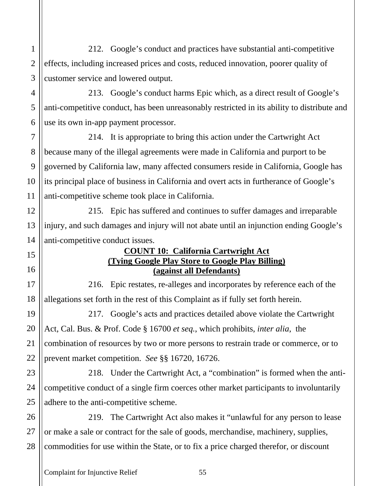212. Google's conduct and practices have substantial anti-competitive effects, including increased prices and costs, reduced innovation, poorer quality of customer service and lowered output.

213. Google's conduct harms Epic which, as a direct result of Google's anti-competitive conduct, has been unreasonably restricted in its ability to distribute and use its own in-app payment processor.

214. It is appropriate to bring this action under the Cartwright Act because many of the illegal agreements were made in California and purport to be governed by California law, many affected consumers reside in California, Google has its principal place of business in California and overt acts in furtherance of Google's anti-competitive scheme took place in California.

215. Epic has suffered and continues to suffer damages and irreparable injury, and such damages and injury will not abate until an injunction ending Google's anti-competitive conduct issues.

#### **COUNT 10: California Cartwright Act (Tying Google Play Store to Google Play Billing) (against all Defendants)**

216. Epic restates, re-alleges and incorporates by reference each of the allegations set forth in the rest of this Complaint as if fully set forth herein.

217. Google's acts and practices detailed above violate the Cartwright Act, Cal. Bus. & Prof. Code § 16700 *et seq.*, which prohibits, *inter alia*, the combination of resources by two or more persons to restrain trade or commerce, or to prevent market competition. *See* §§ 16720, 16726.

218. Under the Cartwright Act, a "combination" is formed when the anticompetitive conduct of a single firm coerces other market participants to involuntarily adhere to the anti-competitive scheme.

26 27 28 219. The Cartwright Act also makes it "unlawful for any person to lease or make a sale or contract for the sale of goods, merchandise, machinery, supplies, commodities for use within the State, or to fix a price charged therefor, or discount

1

2

3

4

5

6

7

8

9

10

11

12

13

14

15

16

17

18

19

20

21

22

23

24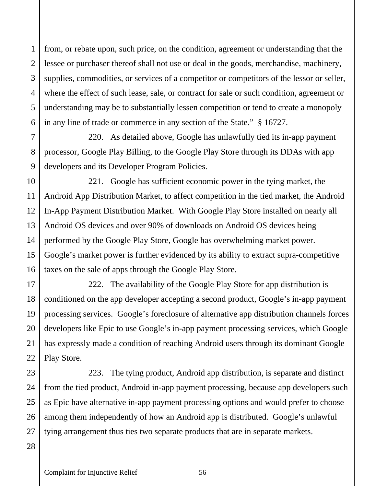from, or rebate upon, such price, on the condition, agreement or understanding that the lessee or purchaser thereof shall not use or deal in the goods, merchandise, machinery, supplies, commodities, or services of a competitor or competitors of the lessor or seller, where the effect of such lease, sale, or contract for sale or such condition, agreement or understanding may be to substantially lessen competition or tend to create a monopoly in any line of trade or commerce in any section of the State." § 16727.

220. As detailed above, Google has unlawfully tied its in-app payment processor, Google Play Billing, to the Google Play Store through its DDAs with app developers and its Developer Program Policies.

221. Google has sufficient economic power in the tying market, the Android App Distribution Market, to affect competition in the tied market, the Android In-App Payment Distribution Market. With Google Play Store installed on nearly all Android OS devices and over 90% of downloads on Android OS devices being performed by the Google Play Store, Google has overwhelming market power. Google's market power is further evidenced by its ability to extract supra-competitive taxes on the sale of apps through the Google Play Store.

222. The availability of the Google Play Store for app distribution is conditioned on the app developer accepting a second product, Google's in-app payment processing services. Google's foreclosure of alternative app distribution channels forces developers like Epic to use Google's in-app payment processing services, which Google has expressly made a condition of reaching Android users through its dominant Google Play Store.

223. The tying product, Android app distribution, is separate and distinct from the tied product, Android in-app payment processing, because app developers such as Epic have alternative in-app payment processing options and would prefer to choose among them independently of how an Android app is distributed. Google's unlawful tying arrangement thus ties two separate products that are in separate markets.

#### 28

1

2

3

4

5

6

7

8

9

10

11

12

13

14

15

16

17

18

19

20

21

22

23

24

25

26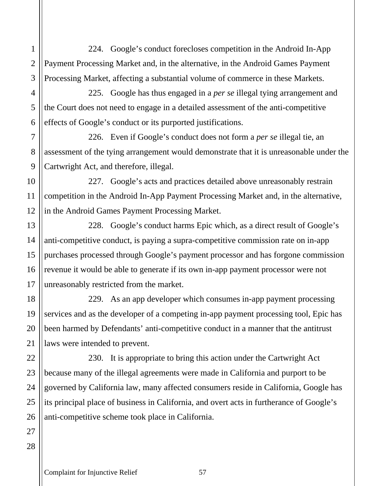224. Google's conduct forecloses competition in the Android In-App Payment Processing Market and, in the alternative, in the Android Games Payment Processing Market, affecting a substantial volume of commerce in these Markets.

225. Google has thus engaged in a *per se* illegal tying arrangement and the Court does not need to engage in a detailed assessment of the anti-competitive effects of Google's conduct or its purported justifications.

226. Even if Google's conduct does not form a *per se* illegal tie, an assessment of the tying arrangement would demonstrate that it is unreasonable under the Cartwright Act, and therefore, illegal.

227. Google's acts and practices detailed above unreasonably restrain competition in the Android In-App Payment Processing Market and, in the alternative, in the Android Games Payment Processing Market.

228. Google's conduct harms Epic which, as a direct result of Google's anti-competitive conduct, is paying a supra-competitive commission rate on in-app purchases processed through Google's payment processor and has forgone commission revenue it would be able to generate if its own in-app payment processor were not unreasonably restricted from the market.

229. As an app developer which consumes in-app payment processing services and as the developer of a competing in-app payment processing tool, Epic has been harmed by Defendants' anti-competitive conduct in a manner that the antitrust laws were intended to prevent.

230. It is appropriate to bring this action under the Cartwright Act because many of the illegal agreements were made in California and purport to be governed by California law, many affected consumers reside in California, Google has its principal place of business in California, and overt acts in furtherance of Google's anti-competitive scheme took place in California.

1

2

3

4

5

6

7

8

9

10

11

12

13

14

15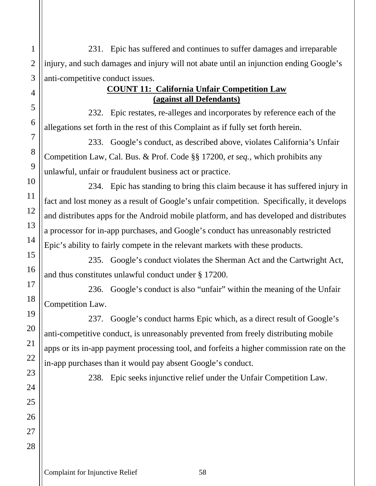231. Epic has suffered and continues to suffer damages and irreparable injury, and such damages and injury will not abate until an injunction ending Google's anti-competitive conduct issues.

#### **COUNT 11: California Unfair Competition Law (against all Defendants)**

232. Epic restates, re-alleges and incorporates by reference each of the allegations set forth in the rest of this Complaint as if fully set forth herein.

233. Google's conduct, as described above, violates California's Unfair Competition Law, Cal. Bus. & Prof. Code §§ 17200, *et seq.*, which prohibits any unlawful, unfair or fraudulent business act or practice.

234. Epic has standing to bring this claim because it has suffered injury in fact and lost money as a result of Google's unfair competition. Specifically, it develops and distributes apps for the Android mobile platform, and has developed and distributes a processor for in-app purchases, and Google's conduct has unreasonably restricted Epic's ability to fairly compete in the relevant markets with these products.

235. Google's conduct violates the Sherman Act and the Cartwright Act, and thus constitutes unlawful conduct under § 17200.

236. Google's conduct is also "unfair" within the meaning of the Unfair Competition Law.

237. Google's conduct harms Epic which, as a direct result of Google's anti-competitive conduct, is unreasonably prevented from freely distributing mobile apps or its in-app payment processing tool, and forfeits a higher commission rate on the in-app purchases than it would pay absent Google's conduct.

1

2

3

4

5

6

7

8

9

10

11

12

13

14

15

16

17

18

19

20

21

22

23

24

25

26

27

28

238. Epic seeks injunctive relief under the Unfair Competition Law.

Complaint for Injunctive Relief 58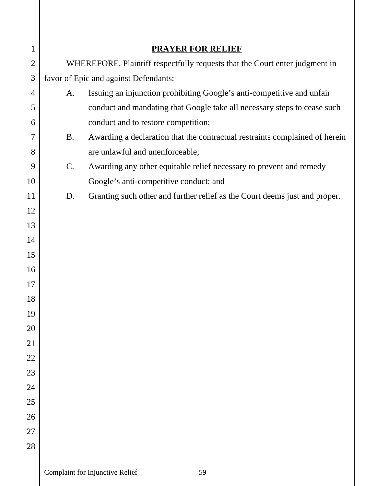| $\mathbf{1}$   |                                                                             | <b>PRAYER FOR RELIEF</b>                                                    |  |
|----------------|-----------------------------------------------------------------------------|-----------------------------------------------------------------------------|--|
| $\overline{2}$ | WHEREFORE, Plaintiff respectfully requests that the Court enter judgment in |                                                                             |  |
| 3              |                                                                             | favor of Epic and against Defendants:                                       |  |
| 4              | A.                                                                          | Issuing an injunction prohibiting Google's anti-competitive and unfair      |  |
| 5              |                                                                             | conduct and mandating that Google take all necessary steps to cease such    |  |
| 6              |                                                                             | conduct and to restore competition;                                         |  |
| 7              | <b>B.</b>                                                                   | Awarding a declaration that the contractual restraints complained of herein |  |
| 8              |                                                                             | are unlawful and unenforceable;                                             |  |
| 9              | C.                                                                          | Awarding any other equitable relief necessary to prevent and remedy         |  |
| 10             |                                                                             | Google's anti-competitive conduct; and                                      |  |
| 11             | D.                                                                          | Granting such other and further relief as the Court deems just and proper.  |  |
| 12             |                                                                             |                                                                             |  |
| 13             |                                                                             |                                                                             |  |
| 14             |                                                                             |                                                                             |  |
| 15             |                                                                             |                                                                             |  |
| 16             |                                                                             |                                                                             |  |
| 17             |                                                                             |                                                                             |  |
| 18             |                                                                             |                                                                             |  |
| 19             |                                                                             |                                                                             |  |
| 20             |                                                                             |                                                                             |  |
| 21             |                                                                             |                                                                             |  |
| 22             |                                                                             |                                                                             |  |
| 23             |                                                                             |                                                                             |  |
| 24             |                                                                             |                                                                             |  |
| 25             |                                                                             |                                                                             |  |
| 26             |                                                                             |                                                                             |  |
| 27             |                                                                             |                                                                             |  |
| 28             |                                                                             |                                                                             |  |
|                |                                                                             |                                                                             |  |